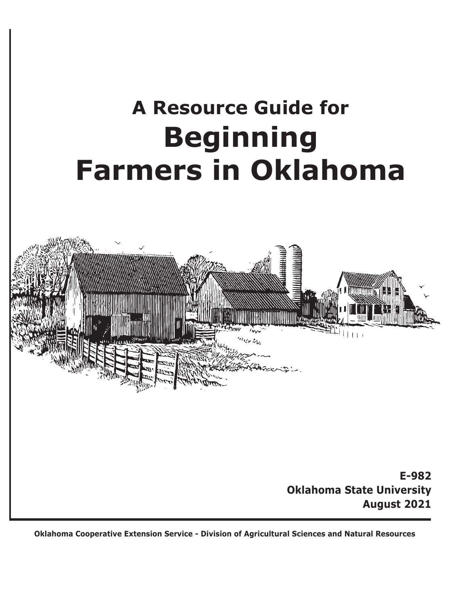# **A Resource Guide for Beginning Farmers in Oklahoma**



**E-982 Oklahoma State University August 2021**

**Oklahoma Cooperative Extension Service - Division of Agricultural Sciences and Natural Resources**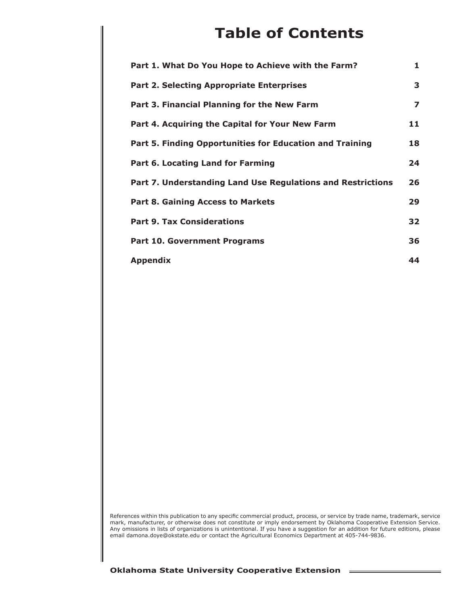### **Table of Contents**

| Part 1. What Do You Hope to Achieve with the Farm?          | 1                       |
|-------------------------------------------------------------|-------------------------|
| <b>Part 2. Selecting Appropriate Enterprises</b>            | 3                       |
| Part 3. Financial Planning for the New Farm                 | $\overline{\mathbf{z}}$ |
| Part 4. Acquiring the Capital for Your New Farm             | 11                      |
| Part 5. Finding Opportunities for Education and Training    | 18                      |
| <b>Part 6. Locating Land for Farming</b>                    | 24                      |
| Part 7. Understanding Land Use Regulations and Restrictions | 26                      |
| <b>Part 8. Gaining Access to Markets</b>                    | 29                      |
| <b>Part 9. Tax Considerations</b>                           | 32                      |
| <b>Part 10. Government Programs</b>                         | 36                      |
| <b>Appendix</b>                                             | 44                      |

References within this publication to any specific commercial product, process, or service by trade name, trademark, service mark, manufacturer, or otherwise does not constitute or imply endorsement by Oklahoma Cooperative Extension Service. Any omissions in lists of organizations is unintentional. If you have a suggestion for an addition for future editions, please email [damona.doye@okstate.edu](mailto:damona.doye@okstate.edu) or contact the Agricultural Economics Department at 405-744-9836.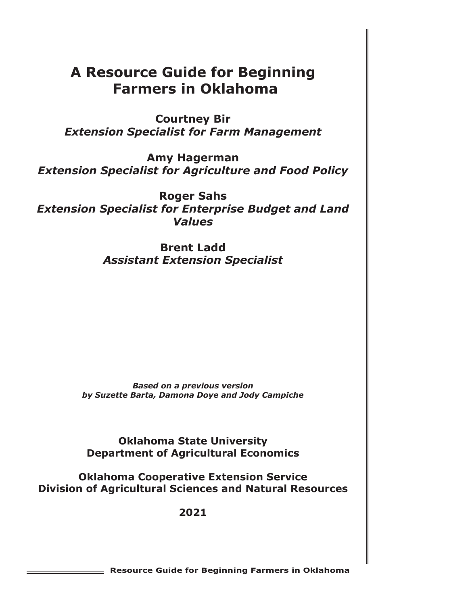### **A Resource Guide for Beginning Farmers in Oklahoma**

**Courtney Bir** *Extension Specialist for Farm Management*

**Amy Hagerman** *Extension Specialist for Agriculture and Food Policy*

**Roger Sahs** *Extension Specialist for Enterprise Budget and Land Values*

> **Brent Ladd** *Assistant Extension Specialist*

*Based on a previous version by Suzette Barta, Damona Doye and Jody Campiche*

**Oklahoma State University Department of Agricultural Economics**

**Oklahoma Cooperative Extension Service Division of Agricultural Sciences and Natural Resources**

**2021**

**Resource Guide for Beginning Farmers in Oklahoma**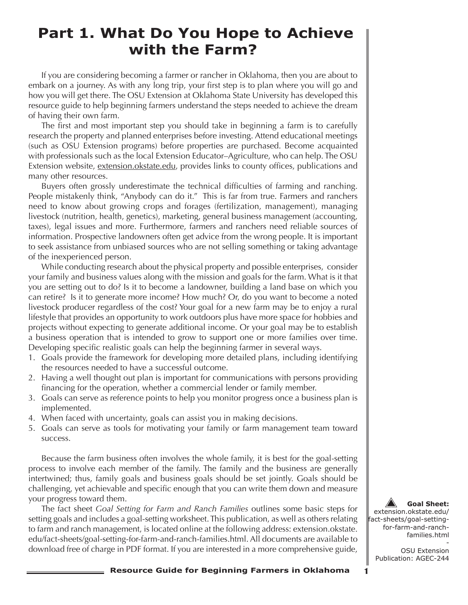### **Part 1. What Do You Hope to Achieve with the Farm?**

If you are considering becoming a farmer or rancher in Oklahoma, then you are about to embark on a journey. As with any long trip, your first step is to plan where you will go and how you will get there. The OSU Extension at Oklahoma State University has developed this resource guide to help beginning farmers understand the steps needed to achieve the dream of having their own farm.

The first and most important step you should take in beginning a farm is to carefully research the property and planned enterprises before investing. Attend educational meetings (such as OSU Extension programs) before properties are purchased. Become acquainted with professionals such as the local Extension Educator–Agriculture, who can help. The OSU Extension website, extension[.okstate.edu](http://www.oces.okstate.edu), provides links to county offices, publications and many other resources.

Buyers often grossly underestimate the technical difficulties of farming and ranching. People mistakenly think, "Anybody can do it." This is far from true. Farmers and ranchers need to know about growing crops and forages (fertilization, management), managing livestock (nutrition, health, genetics), marketing, general business management (accounting, taxes), legal issues and more. Furthermore, farmers and ranchers need reliable sources of information. Prospective landowners often get advice from the wrong people. It is important to seek assistance from unbiased sources who are not selling something or taking advantage of the inexperienced person.

While conducting research about the physical property and possible enterprises, consider your family and business values along with the mission and goals for the farm. What is it that you are setting out to do? Is it to become a landowner, building a land base on which you can retire? Is it to generate more income? How much? Or, do you want to become a noted livestock producer regardless of the cost? Your goal for a new farm may be to enjoy a rural lifestyle that provides an opportunity to work outdoors plus have more space for hobbies and projects without expecting to generate additional income. Or your goal may be to establish a business operation that is intended to grow to support one or more families over time. Developing specific realistic goals can help the beginning farmer in several ways.

- 1. Goals provide the framework for developing more detailed plans, including identifying the resources needed to have a successful outcome.
- 2. Having a well thought out plan is important for communications with persons providing financing for the operation, whether a commercial lender or family member.
- 3. Goals can serve as reference points to help you monitor progress once a business plan is implemented.
- 4. When faced with uncertainty, goals can assist you in making decisions.
- 5. Goals can serve as tools for motivating your family or farm management team toward success.

Because the farm business often involves the whole family, it is best for the goal-setting process to involve each member of the family. The family and the business are generally intertwined; thus, family goals and business goals should be set jointly. Goals should be challenging, yet achievable and specific enough that you can write them down and measure your progress toward them.

The fact sheet *Goal Setting for Farm and Ranch Families* outlines some basic steps for setting goals and includes a goal-setting worksheet. This publication, as well as others relating to farm and ranch management, is located online at the following address: [extension.okstate.](http://extension.okstate.edu/fact-sheets/goal-setting-for-farm-and-ranch-families.html) [edu/fact-sheets/goal-setting-for-farm-and-ranch-families.html](http://extension.okstate.edu/fact-sheets/goal-setting-for-farm-and-ranch-families.html). All documents are available to download free of charge in PDF format. If you are interested in a more comprehensive guide,

 $\sqrt{N}$ **Goal Sheet:**  [extension.okstate.edu/](http://extension.okstate.edu/fact-sheets/goal-setting-for-farm-and-ranch-families.html) [fact-sheets/goal-setting](http://extension.okstate.edu/fact-sheets/goal-setting-for-farm-and-ranch-families.html)[for-farm-and-ranch](http://extension.okstate.edu/fact-sheets/goal-setting-for-farm-and-ranch-families.html)[families.html](http://extension.okstate.edu/fact-sheets/goal-setting-for-farm-and-ranch-families.html) -

OSU Extension Publication: AGEC-244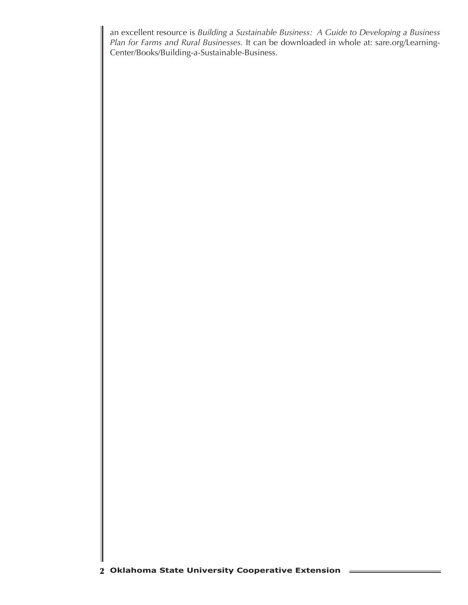an excellent resource is *Building a Sustainable Business: A Guide to Developing a Business Plan for Farms and Rural Businesses.* It can be downloaded in whole at: [sare.org/Learning-](www.sare.org/Learning-Center/Books/Building)[Center/Books/Building-](www.sare.org/Learning-Center/Books/Building)a-Sustainable-Business.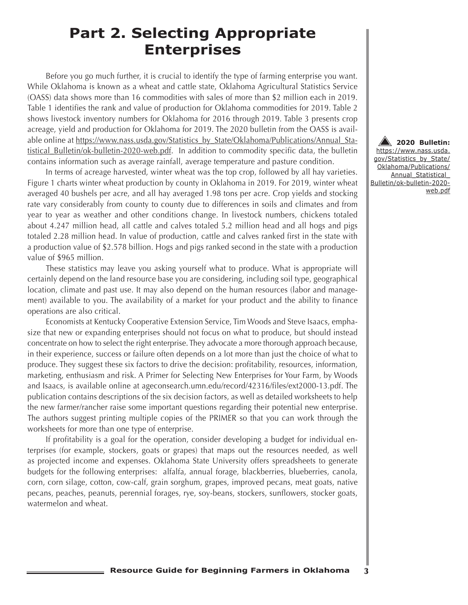### **Part 2. Selecting Appropriate Enterprises**

Before you go much further, it is crucial to identify the type of farming enterprise you want. While Oklahoma is known as a wheat and cattle state, Oklahoma Agricultural Statistics Service (OASS) data shows more than 16 commodities with sales of more than \$2 million each in 2019. Table 1 identifies the rank and value of production for Oklahoma commodities for 2019. Table 2 shows livestock inventory numbers for Oklahoma for 2016 through 2019. Table 3 presents crop acreage, yield and production for Oklahoma for 2019. The 2020 bulletin from the OASS is available online at [https://www.nass.usda.gov/Statistics\\_by\\_State/Oklahoma/Publications/Annual\\_Sta](https://www.nass.usda.gov/Statistics_by_State/Oklahoma/Publications/Annual_Sta­tistical_Bulletin/ok-bulletin-2020-web.pdf)[tistical\\_Bulletin/ok-bulletin-2020-web.pdf](https://www.nass.usda.gov/Statistics_by_State/Oklahoma/Publications/Annual_Sta­tistical_Bulletin/ok-bulletin-2020-web.pdf). In addition to commodity specific data, the bulletin contains information such as average rainfall, average temperature and pasture condition.

In terms of acreage harvested, winter wheat was the top crop, followed by all hay varieties. Figure 1 charts winter wheat production by county in Oklahoma in 2019. For 2019, winter wheat averaged 40 bushels per acre, and all hay averaged 1.98 tons per acre. Crop yields and stocking rate vary considerably from county to county due to differences in soils and climates and from year to year as weather and other conditions change. In livestock numbers, chickens totaled about 4.247 million head, all cattle and calves totaled 5.2 million head and all hogs and pigs totaled 2.28 million head. In value of production, cattle and calves ranked first in the state with a production value of \$2.578 billion. Hogs and pigs ranked second in the state with a production value of \$965 million.

These statistics may leave you asking yourself what to produce. What is appropriate will certainly depend on the land resource base you are considering, including soil type, geographical location, climate and past use. It may also depend on the human resources (labor and management) available to you. The availability of a market for your product and the ability to finance operations are also critical.

Economists at Kentucky Cooperative Extension Service, Tim Woods and Steve Isaacs, emphasize that new or expanding enterprises should not focus on what to produce, but should instead concentrate on how to select the right enterprise. They advocate a more thorough approach because, in their experience, success or failure often depends on a lot more than just the choice of what to produce. They suggest these six factors to drive the decision: profitability, resources, information, marketing, enthusiasm and risk. A Primer for Selecting New Enterprises for Your Farm, by Woods and Isaacs, is available online at [ageconsearch.umn.edu/record/42316/files/ext2000-13.pdf](http://ageconsearch.umn.edu/record/42316/files/ext2000-13.pdf). The publication contains descriptions of the six decision factors, as well as detailed worksheets to help the new farmer/rancher raise some important questions regarding their potential new enterprise. The authors suggest printing multiple copies of the PRIMER so that you can work through the worksheets for more than one type of enterprise.

If profitability is a goal for the operation, consider developing a budget for individual enterprises (for example, stockers, goats or grapes) that maps out the resources needed, as well as projected income and expenses. Oklahoma State University offers spreadsheets to generate budgets for the following enterprises: alfalfa, annual forage, blackberries, blueberries, canola, corn, corn silage, cotton, cow-calf, grain sorghum, grapes, improved pecans, meat goats, native pecans, peaches, peanuts, perennial forages, rye, soy-beans, stockers, sunflowers, stocker goats, watermelon and wheat.

**2020 Bulletin:**  [https://www.nass.usda.](https://www.nass.usda.gov/Statistics_by_State/Oklahoma/Publications/Annual_Sta­tistical_Bulletin/ok-bulletin-2020-web.pdf) [gov/Statistics\\_by\\_State/](https://www.nass.usda.gov/Statistics_by_State/Oklahoma/Publications/Annual_Sta­tistical_Bulletin/ok-bulletin-2020-web.pdf) [Oklahoma/Publications/](https://www.nass.usda.gov/Statistics_by_State/Oklahoma/Publications/Annual_Sta­tistical_Bulletin/ok-bulletin-2020-web.pdf) Annual Statistical [Bulletin/ok-bulletin-2020](https://www.nass.usda.gov/Statistics_by_State/Oklahoma/Publications/Annual_Sta­tistical_Bulletin/ok-bulletin-2020-web.pdf) [web.pdf](https://www.nass.usda.gov/Statistics_by_State/Oklahoma/Publications/Annual_Sta­tistical_Bulletin/ok-bulletin-2020-web.pdf)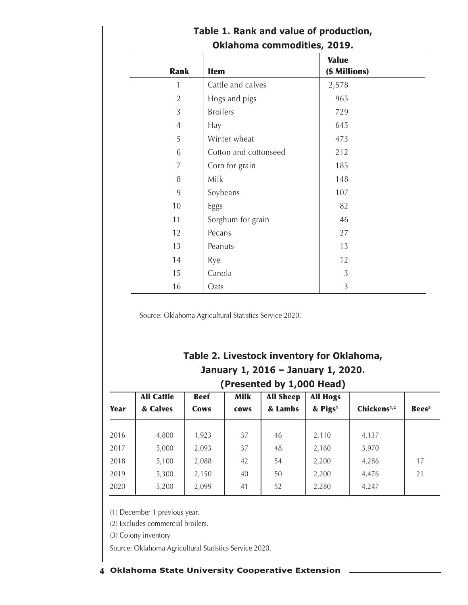| Oklahoma commodities, 2019. |                       |                               |  |  |  |
|-----------------------------|-----------------------|-------------------------------|--|--|--|
| <b>Rank</b>                 | <b>Item</b>           | <b>Value</b><br>(\$ Millions) |  |  |  |
| 1                           | Cattle and calves     | 2,578                         |  |  |  |
| $\overline{2}$              | Hogs and pigs         | 965                           |  |  |  |
| 3                           | <b>Broilers</b>       | 729                           |  |  |  |
| $\overline{4}$              | Hay                   | 645                           |  |  |  |
| 5                           | Winter wheat          | 473                           |  |  |  |
| 6                           | Cotton and cottonseed | 212                           |  |  |  |
| $\overline{7}$              | Corn for grain        | 185                           |  |  |  |
| 8                           | Milk                  | 148                           |  |  |  |
| 9                           | Soybeans              | 107                           |  |  |  |
| 10                          | Eggs                  | 82                            |  |  |  |
| 11                          | Sorghum for grain     | 46                            |  |  |  |
| 12                          | Pecans                | 27                            |  |  |  |
| 13                          | Peanuts               | 13                            |  |  |  |
| 14                          | Rye                   | 12                            |  |  |  |
| 15                          | Canola                | 3                             |  |  |  |
| 16                          | Oats                  | 3                             |  |  |  |

### **Table 1. Rank and value of production,**

Source: Oklahoma Agricultural Statistics Service 2020.

### **Table 2. Livestock inventory for Oklahoma, January 1, 2016 – January 1, 2020. (Presented by 1,000 Head)**

| Year | <b>All Cattle</b><br>& Calves | <b>Beef</b><br><b>Cows</b> | Milk<br><b>COWS</b> | <b>All Sheep</b><br>& Lambs | <b>All Hogs</b><br>& Pigs <sup>1</sup> | Chickens <sup>1,2</sup> | Bees <sup>3</sup> |
|------|-------------------------------|----------------------------|---------------------|-----------------------------|----------------------------------------|-------------------------|-------------------|
|      |                               |                            |                     |                             |                                        |                         |                   |
| 2016 | 4,800                         | 1,923                      | 37                  | 46                          | 2,110                                  | 4,137                   |                   |
| 2017 | 5,000                         | 2,093                      | 37                  | 48                          | 2,160                                  | 3,970                   |                   |
| 2018 | 5,100                         | 2,088                      | 42                  | 54                          | 2,200                                  | 4,286                   | 17                |
| 2019 | 5,300                         | 2,150                      | 40                  | 50                          | 2,200                                  | 4,476                   | 21                |
| 2020 | 5,200                         | 2,099                      | 41                  | 52                          | 2,280                                  | 4,247                   |                   |

(1) December 1 previous year.

(2) Excludes commercial broilers.

(3) Colony inventory

Source: Oklahoma Agricultural Statistics Service 2020.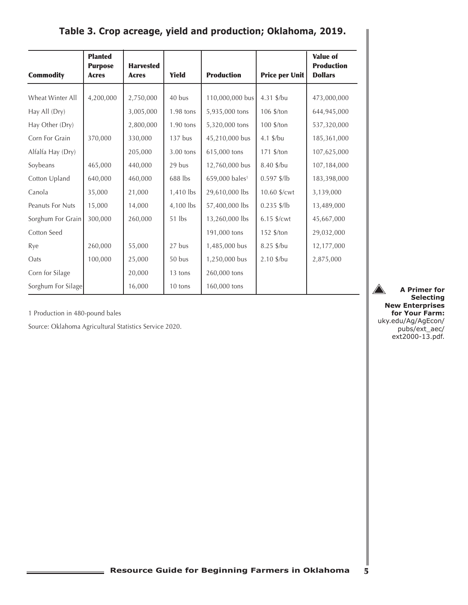| Table 3. Crop acreage, yield and production; Oklahoma, 2019. |  |  |  |  |
|--------------------------------------------------------------|--|--|--|--|
|--------------------------------------------------------------|--|--|--|--|

| <b>Commodity</b>   | <b>Planted</b><br><b>Purpose</b><br><b>Acres</b> | <b>Harvested</b><br><b>Acres</b> | <b>Yield</b> | <b>Production</b>          | <b>Price per Unit</b> | <b>Value of</b><br><b>Production</b><br><b>Dollars</b> |
|--------------------|--------------------------------------------------|----------------------------------|--------------|----------------------------|-----------------------|--------------------------------------------------------|
|                    |                                                  |                                  |              |                            |                       |                                                        |
| Wheat Winter All   | 4,200,000                                        | 2,750,000                        | 40 bus       | 110,000,000 bus            | $4.31$ \$/bu          | 473,000,000                                            |
| Hay All (Dry)      |                                                  | 3,005,000                        | 1.98 tons    | 5,935,000 tons             | 106 \$/ton            | 644,945,000                                            |
| Hay Other (Dry)    |                                                  | 2,800,000                        | 1.90 tons    | 5,320,000 tons             | 100 \$/ton            | 537,320,000                                            |
| Corn For Grain     | 370,000                                          | 330,000                          | 137 bus      | 45,210,000 bus             | $4.1$ \$/bu           | 185,361,000                                            |
| Alfalfa Hay (Dry)  |                                                  | 205,000                          | 3.00 tons    | 615,000 tons               | 171 \$/ton            | 107,625,000                                            |
| Soybeans           | 465,000                                          | 440,000                          | 29 bus       | 12,760,000 bus             | 8.40 \$/bu            | 107,184,000                                            |
| Cotton Upland      | 640,000                                          | 460,000                          | 688 lbs      | 659,000 bales <sup>1</sup> | $0.597$ \$/lb         | 183,398,000                                            |
| Canola             | 35,000                                           | 21,000                           | 1,410 lbs    | 29,610,000 lbs             | 10.60 \$/cwt          | 3,139,000                                              |
| Peanuts For Nuts   | 15,000                                           | 14,000                           | 4,100 lbs    | 57,400,000 lbs             | $0.235$ \$/lb         | 13,489,000                                             |
| Sorghum For Grain  | 300,000                                          | 260,000                          | $51$ lbs     | 13,260,000 lbs             | $6.15$ \$/cwt         | 45,667,000                                             |
| Cotton Seed        |                                                  |                                  |              | 191,000 tons               | 152 \$/ton            | 29,032,000                                             |
| Rye                | 260,000                                          | 55,000                           | 27 bus       | 1,485,000 bus              | $8.25$ \$/bu          | 12,177,000                                             |
| Oats               | 100,000                                          | 25,000                           | 50 bus       | 1,250,000 bus              | $2.10$ \$/bu          | 2,875,000                                              |
| Corn for Silage    |                                                  | 20,000                           | 13 tons      | 260,000 tons               |                       |                                                        |
| Sorghum For Silage |                                                  | 16,000                           | 10 tons      | 160,000 tons               |                       |                                                        |

1 Production in 480-pound bales

Source: Oklahoma Agricultural Statistics Service 2020.

**A Primer for**   $\overline{\phantom{a}}$  **Selecting New Enterprises for Your Farm:**  [uky.edu/Ag/AgEcon/](http://www.uky.edu/Ag/AgEcon/pubs/ext_aec/ext2000-13.pdf) [pubs/ext\\_aec/](http://www.uky.edu/Ag/AgEcon/pubs/ext_aec/ext2000-13.pdf) [ext2000-13.pdf.](http://www.uky.edu/Ag/AgEcon/pubs/ext_aec/ext2000-13.pdf)

Ш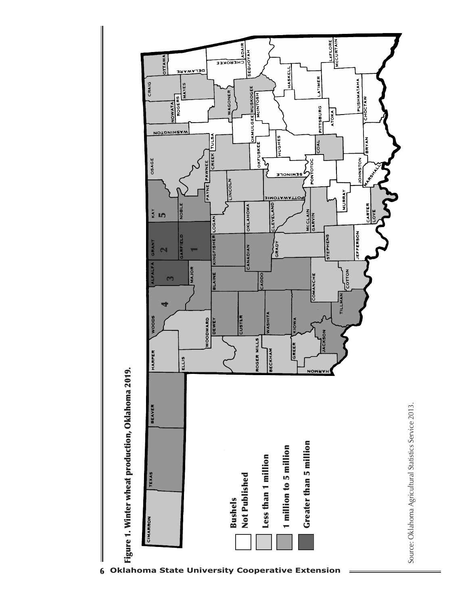

Source: Oklahoma Agricultural Statistics Service 2013. Source: Oklahoma Agricultural Statistics Service 2013.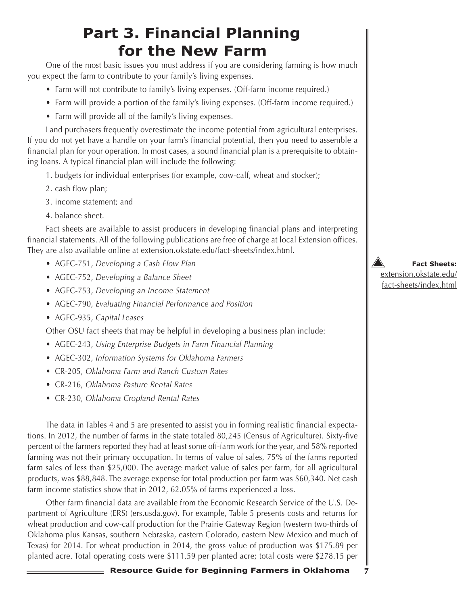### **Part 3. Financial Planning for the New Farm**

One of the most basic issues you must address if you are considering farming is how much you expect the farm to contribute to your family's living expenses.

- Farm will not contribute to family's living expenses. (Off-farm income required.)
- Farm will provide a portion of the family's living expenses. (Off-farm income required.)
- Farm will provide all of the family's living expenses.

Land purchasers frequently overestimate the income potential from agricultural enterprises. If you do not yet have a handle on your farm's financial potential, then you need to assemble a financial plan for your operation. In most cases, a sound financial plan is a prerequisite to obtaining loans. A typical financial plan will include the following:

1. budgets for individual enterprises (for example, cow-calf, wheat and stocker);

- 2. cash flow plan;
- 3. income statement; and
- 4. balance sheet.

Fact sheets are available to assist producers in developing financial plans and interpreting financial statements. All of the following publications are free of charge at local Extension offices. They are also available online at [extension.okstate.edu/fact-sheets/index.html.](http://extension.okstate.edu/fact-sheets/index.html)

- AGEC-751, *Developing a Cash Flow Plan*
- AGEC-752, *Developing a Balance Sheet*
- AGEC-753, *Developing an Income Statement*
- AGEC-790, *Evaluating Financial Performance and Position*
- AGEC-935, *Capital Leases*

Other OSU fact sheets that may be helpful in developing a business plan include:

- AGEC-243, *Using Enterprise Budgets in Farm Financial Planning*
- AGEC-302, *Information Systems for Oklahoma Farmers*
- CR-205, *Oklahoma Farm and Ranch Custom Rates*
- CR-216, *Oklahoma Pasture Rental Rates*
- CR-230, *Oklahoma Cropland Rental Rates*

The data in Tables 4 and 5 are presented to assist you in forming realistic financial expectations. In 2012, the number of farms in the state totaled 80,245 (Census of Agriculture). Sixty-five percent of the farmers reported they had at least some off-farm work for the year, and 58% reported farming was not their primary occupation. In terms of value of sales, 75% of the farms reported farm sales of less than \$25,000. The average market value of sales per farm, for all agricultural products, was \$88,848. The average expense for total production per farm was \$60,340. Net cash farm income statistics show that in 2012, 62.05% of farms experienced a loss.

Other farm financial data are available from the Economic Research Service of the U.S. Department of Agriculture (ERS) ([ers.usda.gov](www.ers.usda.gov)). For example, Table 5 presents costs and returns for wheat production and cow-calf production for the Prairie Gateway Region (western two-thirds of Oklahoma plus Kansas, southern Nebraska, eastern Colorado, eastern New Mexico and much of Texas) for 2014. For wheat production in 2014, the gross value of production was \$175.89 per planted acre. Total operating costs were \$111.59 per planted acre; total costs were \$278.15 per

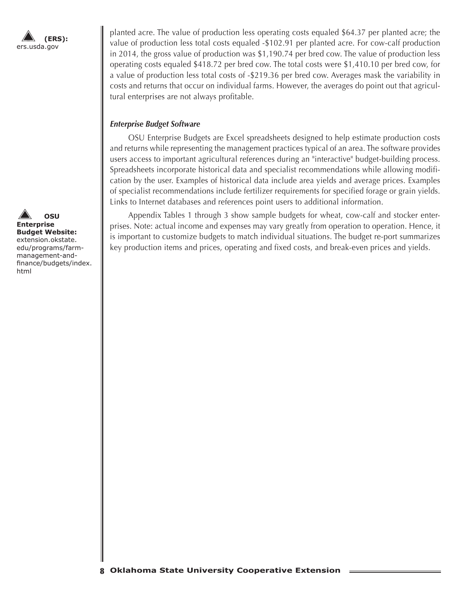

planted acre. The value of production less operating costs equaled \$64.37 per planted acre; the value of production less total costs equaled -\$102.91 per planted acre. For cow-calf production in 2014, the gross value of production was \$1,190.74 per bred cow. The value of production less operating costs equaled \$418.72 per bred cow. The total costs were \$1,410.10 per bred cow, for a value of production less total costs of -\$219.36 per bred cow. Averages mask the variability in costs and returns that occur on individual farms. However, the averages do point out that agricultural enterprises are not always profitable.

### *Enterprise Budget Software*

OSU Enterprise Budgets are Excel spreadsheets designed to help estimate production costs and returns while representing the management practices typical of an area. The software provides users access to important agricultural references during an "interactive" budget-building process. Spreadsheets incorporate historical data and specialist recommendations while allowing modification by the user. Examples of historical data include area yields and average prices. Examples of specialist recommendations include fertilizer requirements for specified forage or grain yields. Links to Internet databases and references point users to additional information.

Appendix Tables 1 through 3 show sample budgets for wheat, cow-calf and stocker enterprises. Note: actual income and expenses may vary greatly from operation to operation. Hence, it is important to customize budgets to match individual situations. The budget re-port summarizes key production items and prices, operating and fixed costs, and break-even prices and yields.

**OSU Enterprise Budget Website:**  [extension.okstate.](http://extension.okstate.edu/programs/farm-management-and-finance/budgets/index.html) [edu/programs/farm](http://extension.okstate.edu/programs/farm-management-and-finance/budgets/index.html)[management-and](http://extension.okstate.edu/programs/farm-management-and-finance/budgets/index.html)[finance/budgets/index.](http://extension.okstate.edu/programs/farm-management-and-finance/budgets/index.html) [html](http://extension.okstate.edu/programs/farm-management-and-finance/budgets/index.html)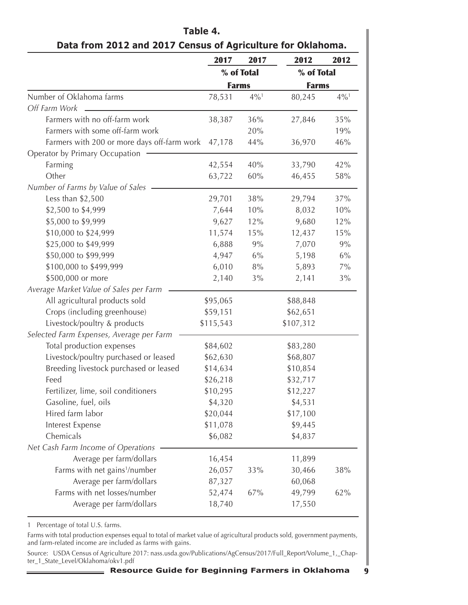|                                             | 2017         | 2017               | 2012         | 2012               |
|---------------------------------------------|--------------|--------------------|--------------|--------------------|
|                                             |              | % of Total         | % of Total   |                    |
|                                             | <b>Farms</b> |                    | <b>Farms</b> |                    |
| Number of Oklahoma farms                    | 78,531       | $4\%$ <sup>1</sup> | 80,245       | $4\%$ <sup>1</sup> |
| Off Farm Work                               |              |                    |              |                    |
| Farmers with no off-farm work               | 38,387       | 36%                | 27,846       | 35%                |
| Farmers with some off-farm work             |              | 20%                |              | 19%                |
| Farmers with 200 or more days off-farm work | 47,178       | 44%                | 36,970       | 46%                |
| Operator by Primary Occupation              |              |                    |              |                    |
| Farming                                     | 42,554       | 40%                | 33,790       | 42%                |
| Other                                       | 63,722       | 60%                | 46,455       | 58%                |
| Number of Farms by Value of Sales           |              |                    |              |                    |
| Less than $$2,500$                          | 29,701       | 38%                | 29,794       | 37%                |
| \$2,500 to \$4,999                          | 7,644        | 10%                | 8,032        | 10%                |
| \$5,000 to \$9,999                          | 9,627        | 12%                | 9,680        | 12%                |
| \$10,000 to \$24,999                        | 11,574       | 15%                | 12,437       | 15%                |
| \$25,000 to \$49,999                        | 6,888        | $9\%$              | 7,070        | 9%                 |
| \$50,000 to \$99,999                        | 4,947        | $6\%$              | 5,198        | 6%                 |
| \$100,000 to \$499,999                      | 6,010        | $8\%$              | 5,893        | 7%                 |
| \$500,000 or more                           | 2,140        | $3\%$              | 2,141        | $3\%$              |
| Average Market Value of Sales per Farm      |              |                    |              |                    |
| All agricultural products sold              | \$95,065     |                    | \$88,848     |                    |
| Crops (including greenhouse)                | \$59,151     |                    | \$62,651     |                    |
| Livestock/poultry & products                | \$115,543    |                    | \$107,312    |                    |
| Selected Farm Expenses, Average per Farm    |              |                    |              |                    |
| Total production expenses                   | \$84,602     |                    | \$83,280     |                    |
| Livestock/poultry purchased or leased       | \$62,630     |                    | \$68,807     |                    |
| Breeding livestock purchased or leased      | \$14,634     |                    | \$10,854     |                    |
| Feed                                        | \$26,218     |                    | \$32,717     |                    |
| Fertilizer, lime, soil conditioners         | \$10,295     |                    | \$12,227     |                    |
| Gasoline, fuel, oils                        | \$4,320      |                    | \$4,531      |                    |
| Hired farm labor                            | \$20,044     |                    | \$17,100     |                    |
| Interest Expense                            | \$11,078     |                    | \$9,445      |                    |
| Chemicals                                   | \$6,082      |                    | \$4,837      |                    |
| Net Cash Farm Income of Operations          |              |                    |              |                    |
| Average per farm/dollars                    | 16,454       |                    | 11,899       |                    |
| Farms with net gains <sup>1</sup> /number   | 26,057       | 33%                | 30,466       | 38%                |
| Average per farm/dollars                    | 87,327       |                    | 60,068       |                    |
| Farms with net losses/number                | 52,474       | 67%                | 49,799       | 62%                |
| Average per farm/dollars                    | 18,740       |                    | 17,550       |                    |

| Table 4.                                                 |  |
|----------------------------------------------------------|--|
| ata from 2012 and 2017 Census of Agriculture for Oklahom |  |

1 Percentage of total U.S. farms.

Farms with total production expenses equal to total of market value of agricultural products sold, government payments, and farm-related income are included as farms with gains.

Source: USDA Census of Agriculture 2017: [nass.usda.gov/Publications/AgCensus/2017/Full\\_Report/Volume\\_1,\\_Chap](http://nass.usda.gov/Publications/AgCensus/2017/Full_Report/Volume_1,_Chapter_1_State_Level/Oklahoma/okv1.pdf)[ter\\_1\\_State\\_Level/Oklahoma/okv1.pdf](http://nass.usda.gov/Publications/AgCensus/2017/Full_Report/Volume_1,_Chapter_1_State_Level/Oklahoma/okv1.pdf)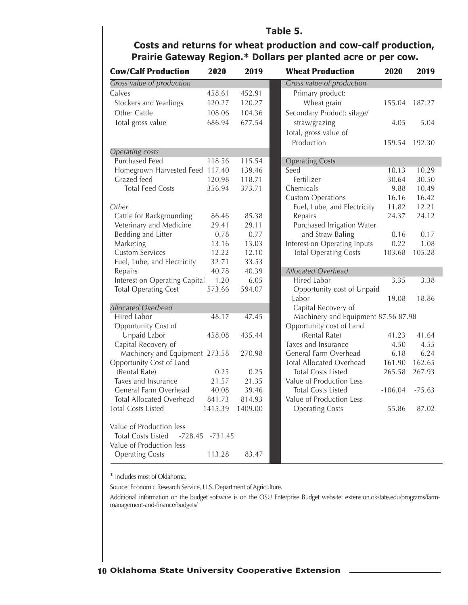### **Table 5.**

### **Costs and returns for wheat production and cow-calf production, Prairie Gateway Region.\* Dollars per planted acre or per cow.**

| <b>Cow/Calf Production</b>                                         | 2020    | 2019    | <b>Wheat Production</b>              | 2020         | 2019         |
|--------------------------------------------------------------------|---------|---------|--------------------------------------|--------------|--------------|
| Gross value of production                                          |         |         | Gross value of production            |              |              |
| Calves                                                             | 458.61  | 452.91  | Primary product:                     |              |              |
| Stockers and Yearlings                                             | 120.27  | 120.27  | Wheat grain                          | 155.04       | 187.27       |
| Other Cattle                                                       | 108.06  | 104.36  | Secondary Product: silage/           |              |              |
| Total gross value                                                  | 686.94  | 677.54  | straw/grazing                        | 4.05         | 5.04         |
|                                                                    |         |         | Total, gross value of                |              |              |
|                                                                    |         |         | Production                           | 159.54       | 192.30       |
| Operating costs                                                    |         |         |                                      |              |              |
| <b>Purchased Feed</b>                                              | 118.56  | 115.54  | <b>Operating Costs</b>               |              |              |
| Homegrown Harvested Feed 117.40                                    |         | 139.46  | Seed                                 | 10.13        | 10.29        |
| Grazed feed                                                        | 120.98  | 118.71  | Fertilizer                           | 30.64        | 30.50        |
| <b>Total Feed Costs</b>                                            | 356.94  | 373.71  | Chemicals                            | 9.88         | 10.49        |
|                                                                    |         |         | <b>Custom Operations</b>             | 16.16        | 16.42        |
| Other                                                              |         |         | Fuel, Lube, and Electricity          | 11.82        | 12.21        |
| Cattle for Backgrounding                                           | 86.46   | 85.38   | Repairs                              | 24.37        | 24.12        |
| Veterinary and Medicine                                            | 29.41   | 29.11   | Purchased Irrigation Water           |              |              |
| Bedding and Litter                                                 | 0.78    | 0.77    | and Straw Baling                     | 0.16         | 0.17         |
| Marketing                                                          | 13.16   | 13.03   | Interest on Operating Inputs         | 0.22         | 1.08         |
| <b>Custom Services</b>                                             | 12.22   | 12.10   | <b>Total Operating Costs</b>         | 103.68       | 105.28       |
| Fuel, Lube, and Electricity                                        | 32.71   | 33.53   |                                      |              |              |
| Repairs                                                            | 40.78   | 40.39   | Allocated Overhead                   |              |              |
| Interest on Operating Capital                                      | 1.20    | 6.05    | <b>Hired Labor</b>                   | 3.35         | 3.38         |
| <b>Total Operating Cost</b>                                        | 573.66  | 594.07  | Opportunity cost of Unpaid           |              |              |
|                                                                    |         |         | Labor                                | 19.08        | 18.86        |
| Allocated Overhead                                                 |         |         | Capital Recovery of                  |              |              |
| Hired Labor                                                        | 48.17   | 47.45   | Machinery and Equipment 87.56 87.98  |              |              |
| Opportunity Cost of                                                |         |         | Opportunity cost of Land             |              |              |
| Unpaid Labor                                                       | 458.08  | 435.44  | (Rental Rate)<br>Taxes and Insurance | 41.23        | 41.64        |
| Capital Recovery of                                                |         |         | General Farm Overhead                | 4.50<br>6.18 | 4.55<br>6.24 |
| Machinery and Equipment 273.58<br>Opportunity Cost of Land         |         | 270.98  | <b>Total Allocated Overhead</b>      | 161.90       | 162.65       |
| (Rental Rate)                                                      | 0.25    | 0.25    | <b>Total Costs Listed</b>            | 265.58       | 267.93       |
| Taxes and Insurance                                                | 21.57   | 21.35   | Value of Production Less             |              |              |
| General Farm Overhead                                              | 40.08   | 39.46   | <b>Total Costs Listed</b>            | $-106.04$    | $-75.63$     |
| <b>Total Allocated Overhead</b>                                    | 841.73  | 814.93  | Value of Production Less             |              |              |
| <b>Total Costs Listed</b>                                          | 1415.39 | 1409.00 | <b>Operating Costs</b>               | 55.86        | 87.02        |
| Value of Production less<br><b>Total Costs Listed</b><br>$-728.45$ | -731.45 |         |                                      |              |              |
| Value of Production less<br><b>Operating Costs</b>                 | 113.28  | 83.47   |                                      |              |              |

\* Includes most of Oklahoma.

Source: Economic Research Service, U.S. Department of Agriculture.

Additional information on the budget software is on the OSU Enterprise Budget website: [extension.okstate.edu/programs/farm](http://extension.okstate.edu/programs/farm-management-and-finance/budgets/)[management-and-finance/budgets/](http://extension.okstate.edu/programs/farm-management-and-finance/budgets/)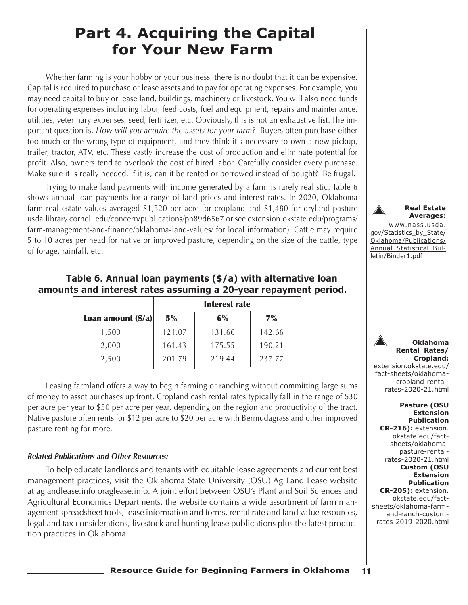### **Part 4. Acquiring the Capital for Your New Farm**

Whether farming is your hobby or your business, there is no doubt that it can be expensive. Capital is required to purchase or lease assets and to pay for operating expenses. For example, you may need capital to buy or lease land, buildings, machinery or livestock. You will also need funds for operating expenses including labor, feed costs, fuel and equipment, repairs and maintenance, utilities, veterinary expenses, seed, fertilizer, etc. Obviously, this is not an exhaustive list. The important question is, *How will you acquire the assets for your farm?* Buyers often purchase either too much or the wrong type of equipment, and they think it's necessary to own a new pickup, trailer, tractor, ATV, etc. These vastly increase the cost of production and eliminate potential for profit. Also, owners tend to overlook the cost of hired labor. Carefully consider every purchase. Make sure it is really needed. If it is, can it be rented or borrowed instead of bought? Be frugal.

Trying to make land payments with income generated by a farm is rarely realistic. Table 6 shows annual loan payments for a range of land prices and interest rates. In 2020, Oklahoma farm real estate values averaged \$1,520 per acre for cropland and \$1,480 for dryland pasture [usda.library.cornell.edu/concern/publications/pn89d6567](http://usda.library.cornell.edu/concern/publications/pn89d6567) or see [extension.okstate.edu/programs/](http://extension.okstate.edu/programs/farm-management-and-finance/oklahoma-land-values/) [farm-management-and-finance/oklahoma-land-values/](http://extension.okstate.edu/programs/farm-management-and-finance/oklahoma-land-values/) for local information). Cattle may require 5 to 10 acres per head for native or improved pasture, depending on the size of the cattle, type of forage, rainfall, etc.

|                             | Interest rate |        |        |  |  |
|-----------------------------|---------------|--------|--------|--|--|
| Loan amount $(\frac{5}{a})$ | 5%            | 6%     | 7%     |  |  |
| 1,500                       | 121.07        | 131.66 | 142.66 |  |  |
| 2,000                       | 161.43        | 175.55 | 190.21 |  |  |
| 2,500                       | 201.79        | 219.44 | 237.77 |  |  |

### **Table 6. Annual loan payments (\$/a) with alternative loan amounts and interest rates assuming a 20-year repayment period.**

Leasing farmland offers a way to begin farming or ranching without committing large sums of money to asset purchases up front. Cropland cash rental rates typically fall in the range of \$30 per acre per year to \$50 per acre per year, depending on the region and productivity of the tract. Native pasture often rents for \$12 per acre to \$20 per acre with Bermudagrass and other improved pasture renting for more.

### *Related Publications and Other Resources:*

To help educate landlords and tenants with equitable lease agreements and current best management practices, visit the Oklahoma State University (OSU) Ag Land Lease website at [aglandlease.info](www.aglandlease.info) o[raglease.info.](www.aglease.info) A joint effort between OSU's Plant and Soil Sciences and Agricultural Economics Departments, the website contains a wide assortment of farm management spreadsheet tools, lease information and forms, rental rate and land value resources, legal and tax considerations, livestock and hunting lease publications plus the latest production practices in Oklahoma.



[www.nass.usda.](http://www.nass.usda.gov/Statistics_by_State/Oklahoma/Publications/Annual_Statistical_Bulletin/Binder1.pdf) [gov/Statistics\\_by\\_State/](http://www.nass.usda.gov/Statistics_by_State/Oklahoma/Publications/Annual_Statistical_Bulletin/Binder1.pdf) [Oklahoma/Publications/](http://www.nass.usda.gov/Statistics_by_State/Oklahoma/Publications/Annual_Statistical_Bulletin/Binder1.pdf) [Annual\\_Statistical\\_Bul](http://www.nass.usda.gov/Statistics_by_State/Oklahoma/Publications/Annual_Statistical_Bulletin/Binder1.pdf)[letin/Binder1.pdf](http://www.nass.usda.gov/Statistics_by_State/Oklahoma/Publications/Annual_Statistical_Bulletin/Binder1.pdf)



[fact-sheets/oklahoma](http://extension.okstate.edu/fact-sheets/oklahoma-cropland-rental-rates-2020-21.html)[cropland-rental](http://extension.okstate.edu/fact-sheets/oklahoma-cropland-rental-rates-2020-21.html)[rates-2020-21.html](http://extension.okstate.edu/fact-sheets/oklahoma-cropland-rental-rates-2020-21.html)

#### **Pasture (OSU Extension Publication**

**CR-216):** [extension.](http://extension.okstate.edu/fact-sheets/oklahoma-pasture-rental-rates-2020-21.html) [okstate.edu/fact](http://extension.okstate.edu/fact-sheets/oklahoma-pasture-rental-rates-2020-21.html)[sheets/oklahoma](http://extension.okstate.edu/fact-sheets/oklahoma-pasture-rental-rates-2020-21.html)[pasture-rental](http://extension.okstate.edu/fact-sheets/oklahoma-pasture-rental-rates-2020-21.html)[rates-2020-21.html](http://extension.okstate.edu/fact-sheets/oklahoma-pasture-rental-rates-2020-21.html) **Custom (OSU Extension Publication CR-205):** [extension.](http://extension.okstate.edu/fact-sheets/oklahoma-farm-and-ranch-custom-rates-2019-2020.html)

[okstate.edu/fact](http://extension.okstate.edu/fact-sheets/oklahoma-farm-and-ranch-custom-rates-2019-2020.html)[sheets/oklahoma-farm](http://extension.okstate.edu/fact-sheets/oklahoma-farm-and-ranch-custom-rates-2019-2020.html)[and-ranch-custom](http://extension.okstate.edu/fact-sheets/oklahoma-farm-and-ranch-custom-rates-2019-2020.html)[rates-2019-2020.html](http://extension.okstate.edu/fact-sheets/oklahoma-farm-and-ranch-custom-rates-2019-2020.html)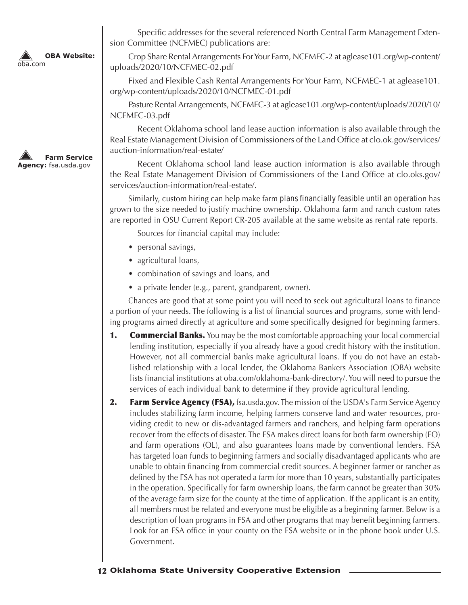



Specific addresses for the several referenced North Central Farm Management Extension Committee (NCFMEC) publications are:

Crop Share Rental Arrangements For Your Farm, NCFMEC-2 at [aglease101.org/wp-content/](http://aglease101.org/wp-content/uploads/2020/10/NCFMEC-02.pdf) [uploads/2020/10/NCFMEC-02.pdf](http://aglease101.org/wp-content/uploads/2020/10/NCFMEC-02.pdf)

Fixed and Flexible Cash Rental Arrangements For Your Farm, NCFMEC-1 at [aglease101.](http://aglease101.org/wp-content/uploads/2020/10/NCFMEC-01.pdf) [org/wp-content/uploads/2020/10/NCFMEC-01.pdf](http://aglease101.org/wp-content/uploads/2020/10/NCFMEC-01.pdf)

Pasture Rental Arrangements, NCFMEC-3 at [aglease101.org/wp-content/uploads/2020/10/](http://aglease101.org/wp-content/uploads/2020/10/NCFMEC-03.pdf) [NCFMEC-03.pdf](http://aglease101.org/wp-content/uploads/2020/10/NCFMEC-03.pdf)

Recent Oklahoma school land lease auction information is also available through the Real Estate Management Division of Commissioners of the Land Office at [clo.ok.gov/services/](http://clo.ok.gov/services/auction-information/real-estate/) [auction-information/real-estate/](http://clo.ok.gov/services/auction-information/real-estate/)

Recent Oklahoma school land lease auction information is also available through the Real Estate Management Division of Commissioners of the Land Office at [clo.oks.gov/](http://clo.oks.gov/services/auction-information/real-estate/) [services/auction-information/real-estate/.](http://clo.oks.gov/services/auction-information/real-estate/)

Similarly, custom hiring can help make farm plans financially feasible until an operation has grown to the size needed to justify machine ownership. Oklahoma farm and ranch custom rates are reported in OSU Current Report CR-205 available at the same website as rental rate reports.

Sources for financial capital may include:

- personal savings,
- agricultural loans,
- combination of savings and loans, and
- a private lender (e.g., parent, grandparent, owner).

Chances are good that at some point you will need to seek out agricultural loans to finance a portion of your needs. The following is a list of financial sources and programs, some with lending programs aimed directly at agriculture and some specifically designed for beginning farmers.

- **1. Commercial Banks.** You may be the most comfortable approaching your local commercial lending institution, especially if you already have a good credit history with the institution. However, not all commercial banks make agricultural loans. If you do not have an established relationship with a local lender, the Oklahoma Bankers Association (OBA) website lists financial institutions at [oba.com/oklahoma-bank-directory/.](http://oba.com/oklahoma-bank-directory/) You will need to pursue the services of each individual bank to determine if they provide agricultural lending.
- 2. Farm Service Agency (FSA), [fsa.usda.gov.](http://www.fsa.usda.gov) The mission of the USDA's Farm Service Agency includes stabilizing farm income, helping farmers conserve land and water resources, providing credit to new or dis-advantaged farmers and ranchers, and helping farm operations recover from the effects of disaster. The FSA makes direct loans for both farm ownership (FO) and farm operations (OL), and also guarantees loans made by conventional lenders. FSA has targeted loan funds to beginning farmers and socially disadvantaged applicants who are unable to obtain financing from commercial credit sources. A beginner farmer or rancher as defined by the FSA has not operated a farm for more than 10 years, substantially participates in the operation. Specifically for farm ownership loans, the farm cannot be greater than 30% of the average farm size for the county at the time of application. If the applicant is an entity, all members must be related and everyone must be eligible as a beginning farmer. Below is a description of loan programs in FSA and other programs that may benefit beginning farmers. Look for an FSA office in your county on the FSA website or in the phone book under U.S. Government.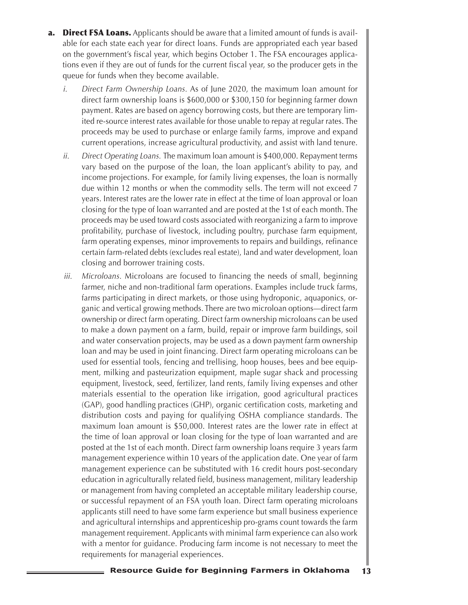- **a.** Direct FSA Loans. Applicants should be aware that a limited amount of funds is available for each state each year for direct loans. Funds are appropriated each year based on the government's fiscal year, which begins October 1. The FSA encourages applications even if they are out of funds for the current fiscal year, so the producer gets in the queue for funds when they become available.
	- *i. Direct Farm Ownership Loans.* As of June 2020, the maximum loan amount for direct farm ownership loans is \$600,000 or \$300,150 for beginning farmer down payment. Rates are based on agency borrowing costs, but there are temporary limited re-source interest rates available for those unable to repay at regular rates. The proceeds may be used to purchase or enlarge family farms, improve and expand current operations, increase agricultural productivity, and assist with land tenure.
	- *ii. Direct Operating Loans.* The maximum loan amount is \$400,000. Repayment terms vary based on the purpose of the loan, the loan applicant's ability to pay, and income projections. For example, for family living expenses, the loan is normally due within 12 months or when the commodity sells. The term will not exceed 7 years. Interest rates are the lower rate in effect at the time of loan approval or loan closing for the type of loan warranted and are posted at the 1st of each month. The proceeds may be used toward costs associated with reorganizing a farm to improve profitability, purchase of livestock, including poultry, purchase farm equipment, farm operating expenses, minor improvements to repairs and buildings, refinance certain farm-related debts (excludes real estate), land and water development, loan closing and borrower training costs.
	- *iii. Microloans.* Microloans are focused to financing the needs of small, beginning farmer, niche and non-traditional farm operations. Examples include truck farms, farms participating in direct markets, or those using hydroponic, aquaponics, organic and vertical growing methods. There are two microloan options—direct farm ownership or direct farm operating. Direct farm ownership microloans can be used to make a down payment on a farm, build, repair or improve farm buildings, soil and water conservation projects, may be used as a down payment farm ownership loan and may be used in joint financing. Direct farm operating microloans can be used for essential tools, fencing and trellising, hoop houses, bees and bee equipment, milking and pasteurization equipment, maple sugar shack and processing equipment, livestock, seed, fertilizer, land rents, family living expenses and other materials essential to the operation like irrigation, good agricultural practices (GAP), good handling practices (GHP), organic certification costs, marketing and distribution costs and paying for qualifying OSHA compliance standards. The maximum loan amount is \$50,000. Interest rates are the lower rate in effect at the time of loan approval or loan closing for the type of loan warranted and are posted at the 1st of each month. Direct farm ownership loans require 3 years farm management experience within 10 years of the application date. One year of farm management experience can be substituted with 16 credit hours post-secondary education in agriculturally related field, business management, military leadership or management from having completed an acceptable military leadership course, or successful repayment of an FSA youth loan. Direct farm operating microloans applicants still need to have some farm experience but small business experience and agricultural internships and apprenticeship pro-grams count towards the farm management requirement. Applicants with minimal farm experience can also work with a mentor for guidance. Producing farm income is not necessary to meet the requirements for managerial experiences.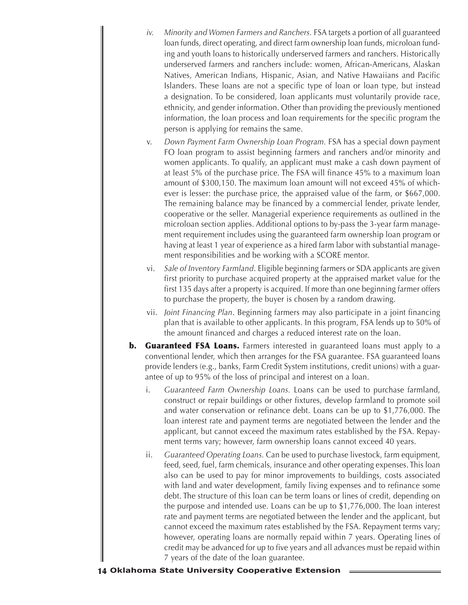- *iv. Minority and Women Farmers and Ranchers.* FSA targets a portion of all guaranteed loan funds, direct operating, and direct farm ownership loan funds, microloan funding and youth loans to historically underserved farmers and ranchers. Historically underserved farmers and ranchers include: women, African-Americans, Alaskan Natives, American Indians, Hispanic, Asian, and Native Hawaiians and Pacific Islanders. These loans are not a specific type of loan or loan type, but instead a designation. To be considered, loan applicants must voluntarily provide race, ethnicity, and gender information. Other than providing the previously mentioned information, the loan process and loan requirements for the specific program the person is applying for remains the same.
- v. *Down Payment Farm Ownership Loan Program.* FSA has a special down payment FO loan program to assist beginning farmers and ranchers and/or minority and women applicants. To qualify, an applicant must make a cash down payment of at least 5% of the purchase price. The FSA will finance 45% to a maximum loan amount of \$300,150. The maximum loan amount will not exceed 45% of whichever is lesser: the purchase price, the appraised value of the farm, or \$667,000. The remaining balance may be financed by a commercial lender, private lender, cooperative or the seller. Managerial experience requirements as outlined in the microloan section applies. Additional options to by-pass the 3-year farm management requirement includes using the guaranteed farm ownership loan program or having at least 1 year of experience as a hired farm labor with substantial management responsibilities and be working with a SCORE mentor.
- vi. *Sale of Inventory Farmland*. Eligible beginning farmers or SDA applicants are given first priority to purchase acquired property at the appraised market value for the first 135 days after a property is acquired. If more than one beginning farmer offers to purchase the property, the buyer is chosen by a random drawing.
- vii. *Joint Financing Plan*. Beginning farmers may also participate in a joint financing plan that is available to other applicants. In this program, FSA lends up to 50% of the amount financed and charges a reduced interest rate on the loan.
- **b.** Guaranteed FSA Loans. Farmers interested in guaranteed loans must apply to a conventional lender, which then arranges for the FSA guarantee. FSA guaranteed loans provide lenders (e.g., banks, Farm Credit System institutions, credit unions) with a guarantee of up to 95% of the loss of principal and interest on a loan.
	- i. *Guaranteed Farm Ownership Loans.* Loans can be used to purchase farmland, construct or repair buildings or other fixtures, develop farmland to promote soil and water conservation or refinance debt. Loans can be up to \$1,776,000. The loan interest rate and payment terms are negotiated between the lender and the applicant, but cannot exceed the maximum rates established by the FSA. Repayment terms vary; however, farm ownership loans cannot exceed 40 years.
	- ii. *Guaranteed Operating Loans.* Can be used to purchase livestock, farm equipment, feed, seed, fuel, farm chemicals, insurance and other operating expenses. This loan also can be used to pay for minor improvements to buildings, costs associated with land and water development, family living expenses and to refinance some debt. The structure of this loan can be term loans or lines of credit, depending on the purpose and intended use. Loans can be up to \$1,776,000. The loan interest rate and payment terms are negotiated between the lender and the applicant, but cannot exceed the maximum rates established by the FSA. Repayment terms vary; however, operating loans are normally repaid within 7 years. Operating lines of credit may be advanced for up to five years and all advances must be repaid within 7 years of the date of the loan guarantee.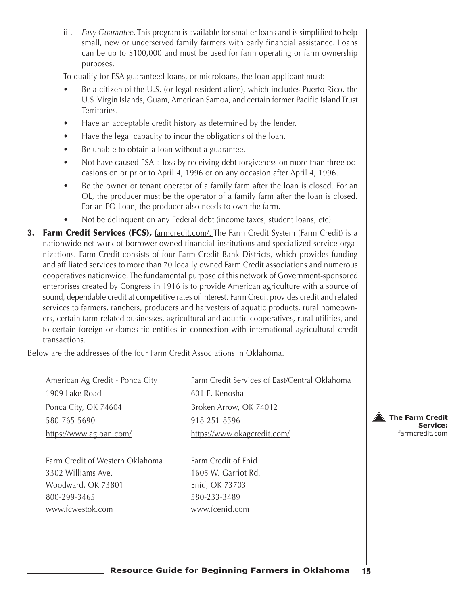iii. *Easy Guarantee*. This program is available for smaller loans and is simplified to help small, new or underserved family farmers with early financial assistance. Loans can be up to \$100,000 and must be used for farm operating or farm ownership purposes.

To qualify for FSA guaranteed loans, or microloans, the loan applicant must:

- Be a citizen of the U.S. (or legal resident alien), which includes Puerto Rico, the U.S. Virgin Islands, Guam, American Samoa, and certain former Pacific Island Trust Territories.
- Have an acceptable credit history as determined by the lender.
- Have the legal capacity to incur the obligations of the loan.
- Be unable to obtain a loan without a guarantee.
- Not have caused FSA a loss by receiving debt forgiveness on more than three occasions on or prior to April 4, 1996 or on any occasion after April 4, 1996.
- Be the owner or tenant operator of a family farm after the loan is closed. For an OL, the producer must be the operator of a family farm after the loan is closed. For an FO Loan, the producer also needs to own the farm.
- Not be delinguent on any Federal debt (income taxes, student loans, etc)
- 3. Farm Credit Services (FCS), [farmcredit.com/.](http://farmcredit.com/) The Farm Credit System (Farm Credit) is a nationwide net-work of borrower-owned financial institutions and specialized service organizations. Farm Credit consists of four Farm Credit Bank Districts, which provides funding and affiliated services to more than 70 locally owned Farm Credit associations and numerous cooperatives nationwide. The fundamental purpose of this network of Government-sponsored enterprises created by Congress in 1916 is to provide American agriculture with a source of sound, dependable credit at competitive rates of interest. Farm Credit provides credit and related services to farmers, ranchers, producers and harvesters of aquatic products, rural homeowners, certain farm-related businesses, agricultural and aquatic cooperatives, rural utilities, and to certain foreign or domes-tic entities in connection with international agricultural credit transactions.

Below are the addresses of the four Farm Credit Associations in Oklahoma.

American Ag Credit - Ponca City Farm Credit Services of East/Central Oklahoma 1909 Lake Road 601 E. Kenosha Ponca City, OK 74604 Broken Arrow, OK 74012 580-765-5690 918-251-8596 <https://www.agloan.com/> <https://www.okagcredit.com/>

Farm Credit of Western Oklahoma Farm Credit of Enid 3302 Williams Ave. 1605 W. Garriot Rd. Woodward, OK 73801 **Enid, OK 73703** 800-299-3465 580-233-3489 [www.fcwestok.com](http://www.fcwestok.com) <www.fcenid.com>

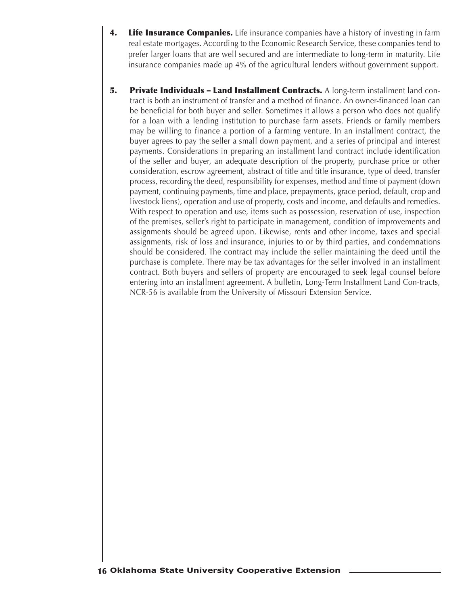- **4.** Life Insurance Companies. Life insurance companies have a history of investing in farm real estate mortgages. According to the Economic Research Service, these companies tend to prefer larger loans that are well secured and are intermediate to long-term in maturity. Life insurance companies made up 4% of the agricultural lenders without government support.
- **5.** Private Individuals Land Installment Contracts. A long-term installment land contract is both an instrument of transfer and a method of finance. An owner-financed loan can be beneficial for both buyer and seller. Sometimes it allows a person who does not qualify for a loan with a lending institution to purchase farm assets. Friends or family members may be willing to finance a portion of a farming venture. In an installment contract, the buyer agrees to pay the seller a small down payment, and a series of principal and interest payments. Considerations in preparing an installment land contract include identification of the seller and buyer, an adequate description of the property, purchase price or other consideration, escrow agreement, abstract of title and title insurance, type of deed, transfer process, recording the deed, responsibility for expenses, method and time of payment (down payment, continuing payments, time and place, prepayments, grace period, default, crop and livestock liens), operation and use of property, costs and income, and defaults and remedies. With respect to operation and use, items such as possession, reservation of use, inspection of the premises, seller's right to participate in management, condition of improvements and assignments should be agreed upon. Likewise, rents and other income, taxes and special assignments, risk of loss and insurance, injuries to or by third parties, and condemnations should be considered. The contract may include the seller maintaining the deed until the purchase is complete. There may be tax advantages for the seller involved in an installment contract. Both buyers and sellers of property are encouraged to seek legal counsel before entering into an installment agreement. A bulletin, Long-Term Installment Land Con-tracts, NCR-56 is available from the University of Missouri Extension Service.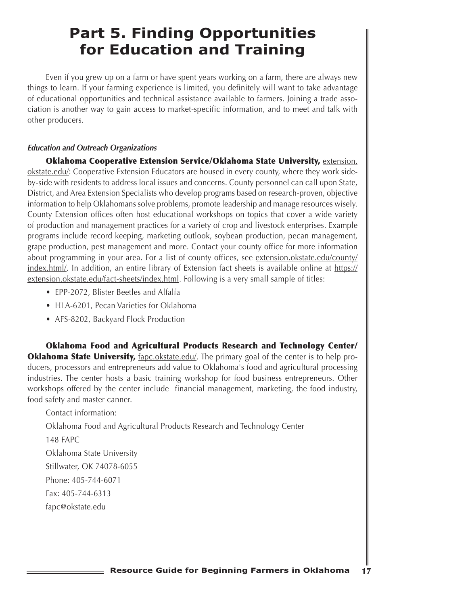### **Part 5. Finding Opportunities for Education and Training**

Even if you grew up on a farm or have spent years working on a farm, there are always new things to learn. If your farming experience is limited, you definitely will want to take advantage of educational opportunities and technical assistance available to farmers. Joining a trade association is another way to gain access to market-specific information, and to meet and talk with other producers.

#### *Education and Outreach Organizations*

Oklahoma Cooperative Extension Service/Oklahoma State University, [extension.](http://extension.okstate.edu/) [okstate.edu/](http://extension.okstate.edu/): Cooperative Extension Educators are housed in every county, where they work sideby-side with residents to address local issues and concerns. County personnel can call upon State, District, and Area Extension Specialists who develop programs based on research-proven, objective information to help Oklahomans solve problems, promote leadership and manage resources wisely. County Extension offices often host educational workshops on topics that cover a wide variety of production and management practices for a variety of crop and livestock enterprises. Example programs include record keeping, marketing outlook, soybean production, pecan management, grape production, pest management and more. Contact your county office for more information about programming in your area. For a list of county offices, see [extension.okstate.edu/county/](http://extension.okstate.edu/county/index.html/) [index.html/](http://extension.okstate.edu/county/index.html/). In addition, an entire library of Extension fact sheets is available online at [https://](https://extension.okstate.edu/fact-sheets/index.html) [extension.okstate.edu/fact-sheets/index.html.](https://extension.okstate.edu/fact-sheets/index.html) Following is a very small sample of titles:

- EPP-2072, Blister Beetles and Alfalfa
- HLA-6201, Pecan Varieties for Oklahoma
- AFS-8202, Backyard Flock Production

Oklahoma Food and Agricultural Products Research and Technology Center/ **Oklahoma State University,** [fapc.okstate.edu](www.fapc.okstate.edu)/. The primary goal of the center is to help producers, processors and entrepreneurs add value to Oklahoma's food and agricultural processing industries. The center hosts a basic training workshop for food business entrepreneurs. Other workshops offered by the center include financial management, marketing, the food industry, food safety and master canner.

Contact information: Oklahoma Food and Agricultural Products Research and Technology Center 148 FAPC Oklahoma State University Stillwater, OK 74078-6055 Phone: 405-744-6071 Fax: 405-744-6313 [fapc@okstate.edu](mailto:fapc@okstate.edu)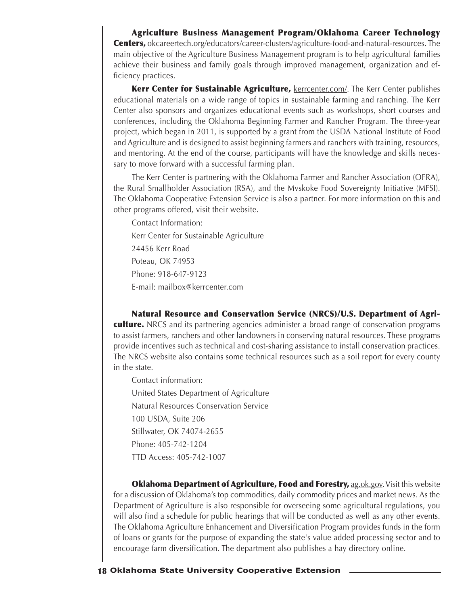#### Agriculture Business Management Program/Oklahoma Career Technology

Centers, [okcareertech.org/educators/career-clusters/agriculture-food-and-natural-resources.](http://okcareertech.org/educators/career-clusters/agriculture-food-and-natural-resources) The main objective of the Agriculture Business Management program is to help agricultural families achieve their business and family goals through improved management, organization and efficiency practices.

Kerr Center for Sustainable Agriculture, [kerrcenter.com](www.kerrcenter.com)/. The Kerr Center publishes educational materials on a wide range of topics in sustainable farming and ranching. The Kerr Center also sponsors and organizes educational events such as workshops, short courses and conferences, including the Oklahoma Beginning Farmer and Rancher Program. The three-year project, which began in 2011, is supported by a grant from the USDA National Institute of Food and Agriculture and is designed to assist beginning farmers and ranchers with training, resources, and mentoring. At the end of the course, participants will have the knowledge and skills necessary to move forward with a successful farming plan.

The Kerr Center is partnering with the Oklahoma Farmer and Rancher Association (OFRA), the Rural Smallholder Association (RSA), and the Mvskoke Food Sovereignty Initiative (MFSI). The Oklahoma Cooperative Extension Service is also a partner. For more information on this and other programs offered, visit their website.

Contact Information: Kerr Center for Sustainable Agriculture 24456 Kerr Road Poteau, OK 74953 Phone: 918-647-9123 E-mail: [mailbox@kerrcenter.com](mailto:mailbox@kerrcenter.com)

Natural Resource and Conservation Service (NRCS)/U.S. Department of Agri**culture.** NRCS and its partnering agencies administer a broad range of conservation programs to assist farmers, ranchers and other landowners in conserving natural resources. These programs provide incentives such as technical and cost-sharing assistance to install conservation practices. The NRCS website also contains some technical resources such as a soil report for every county in the state.

Contact information:

United States Department of Agriculture Natural Resources Conservation Service 100 USDA, Suite 206 Stillwater, OK 74074-2655 Phone: 405-742-1204 TTD Access: 405-742-1007

**Oklahoma Department of Agriculture, Food and Forestry, Agolar** Visit this website for a discussion of Oklahoma's top commodities, daily commodity prices and market news. As the Department of Agriculture is also responsible for overseeing some agricultural regulations, you will also find a schedule for public hearings that will be conducted as well as any other events. The Oklahoma Agriculture Enhancement and Diversification Program provides funds in the form of loans or grants for the purpose of expanding the state's value added processing sector and to encourage farm diversification. The department also publishes a hay directory online.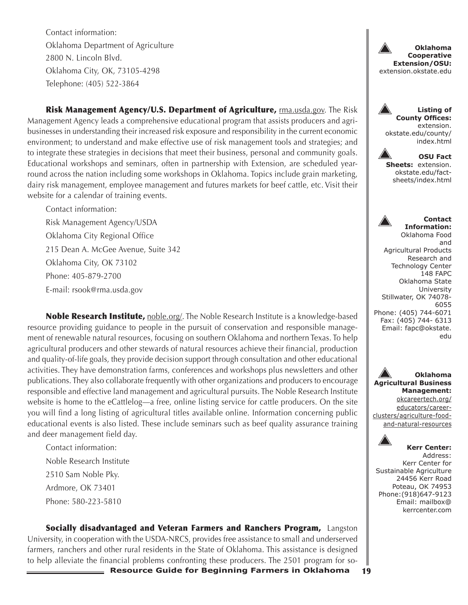Contact information: Oklahoma Department of Agriculture 2800 N. Lincoln Blvd. Oklahoma City, OK, 73105-4298 Telephone: (405) 522-3864

Risk Management Agency/U.S. Department of Agriculture, [rma.usda.gov](http://www.rma.usda.gov). The Risk Management Agency leads a comprehensive educational program that assists producers and agribusinesses in understanding their increased risk exposure and responsibility in the current economic environment; to understand and make effective use of risk management tools and strategies; and to integrate these strategies in decisions that meet their business, personal and community goals. Educational workshops and seminars, often in partnership with Extension, are scheduled yearround across the nation including some workshops in Oklahoma. Topics include grain marketing, dairy risk management, employee management and futures markets for beef cattle, etc. Visit their website for a calendar of training events.

Contact information: Risk Management Agency/USDA Oklahoma City Regional Office 215 Dean A. McGee Avenue, Suite 342 Oklahoma City, OK 73102 Phone: 405-879-2700 E-mail: [rsook@rma.usda.gov](mailto:rsook@rma.usda.gov)

**Noble Research Institute,** [noble.org](www.noble.org)/. The Noble Research Institute is a knowledge-based resource providing guidance to people in the pursuit of conservation and responsible management of renewable natural resources, focusing on southern Oklahoma and northern Texas. To help agricultural producers and other stewards of natural resources achieve their financial, production and quality-of-life goals, they provide decision support through consultation and other educational activities. They have demonstration farms, conferences and workshops plus newsletters and other publications. They also collaborate frequently with other organizations and producers to encourage responsible and effective land management and agricultural pursuits. The Noble Research Institute website is home to the eCattlelog—a free, online listing service for cattle producers. On the site you will find a long listing of agricultural titles available online. Information concerning public educational events is also listed. These include seminars such as beef quality assurance training and deer management field day.

Contact information: Noble Research Institute 2510 Sam Noble Pky. Ardmore, OK 73401 Phone: 580-223-5810





**OSU Fact Sheets:** [extension.](http://extension.okstate.edu/fact-sheets/index.html) [okstate.edu/fact-](http://extension.okstate.edu/fact-sheets/index.html)

[sheets/index.html](http://extension.okstate.edu/fact-sheets/index.html)

**Contact** 



 Oklahoma Food and Agricultural Products Research and Technology Center 148 FAPC Oklahoma State University Stillwater, OK 74078- 6055 Phone: (405) 744-6071 Fax: (405) 744- 6313 Email: [fapc@okstate.](mailto:fapc@okstate.edu) [edu](mailto:fapc@okstate.edu)

**Oklahoma Agricultural Business Management:**  [okcareertech.org/](http://okcareertech.org/educators/career-clusters/agriculture-food-and-natural-resources) [educators/career-](http://okcareertech.org/educators/career-clusters/agriculture-food-and-natural-resources)

[clusters/agriculture-food](http://okcareertech.org/educators/career-clusters/agriculture-food-and-natural-resources)[and-natural-resources](http://okcareertech.org/educators/career-clusters/agriculture-food-and-natural-resources)



**Kerr Center:** Address: Kerr Center for Sustainable Agriculture 24456 Kerr Road Poteau, OK 74953 Phone:(918)647-9123 Email: [mailbox@](mailto:mailbox@kerrcenter.com) [kerrcenter.com](mailto:mailbox@kerrcenter.com)

Socially disadvantaged and Veteran Farmers and Ranchers Program, Langston University, in cooperation with the USDA-NRCS, provides free assistance to small and underserved farmers, ranchers and other rural residents in the State of Oklahoma. This assistance is designed to help alleviate the financial problems confronting these producers. The 2501 program for so-

**Resource Guide for Beginning Farmers in Oklahoma** 19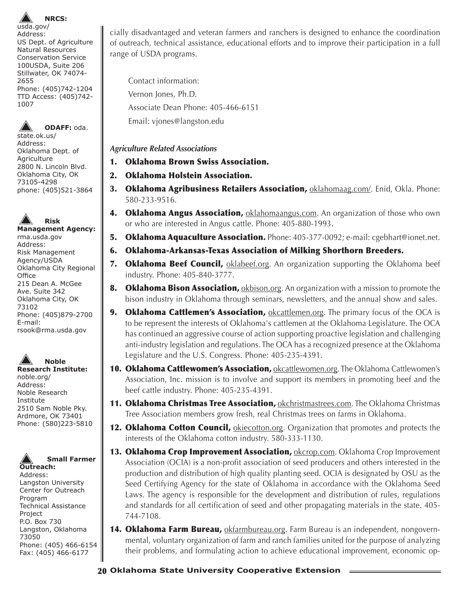[usda.gov](www.nrcs.usda.gov)/ Address: US Dept. of Agriculture Natural Resources Conservation Service 100USDA, Suite 206 Stillwater, OK 74074- 2655 Phone: (405)742-1204 TTD Access: (405)742- 1007

**NRCS:**



[state.ok.us/](www.oda.state.ok.us) Address: Oklahoma Dept. of **Agriculture** 2800 N. Lincoln Blvd. Oklahoma City, OK 73105-4298 phone: (405)521-3864



#### [rma.usda.gov](www.rma.usda.gov) Address: Risk Management Agency/USDA Oklahoma City Regional **Office** 215 Dean A. McGee Ave. Suite 342 Oklahoma City, OK 73102 Phone: (405)879-2700 E-mail: [rsook@rma.usda.gov](mailto:rsook@rma.usda.gov)

**Noble**   $\mu$ **Research Institute:** [noble.org/](www.noble.org) Address: Noble Research Institute 2510 Sam Noble Pky. Ardmore, OK 73401 Phone: (580)223-5810



Address: Langston University Center for Outreach Program Technical Assistance Project P.O. Box 730 Langston, Oklahoma 73050 Phone: (405) 466-6154 Fax: (405) 466-6177

cially disadvantaged and veteran farmers and ranchers is designed to enhance the coordination of outreach, technical assistance, educational efforts and to improve their participation in a full range of USDA programs.

Contact information: Vernon Jones, Ph.D. Associate Dean Phone: 405-466-6151 Email: [vjones@langston.edu](mailto:vjones@langston.edu)

### *Agriculture Related Associations*

- 1. Oklahoma Brown Swiss Association.
- 2. Oklahoma Holstein Association.
- 3. Oklahoma Agribusiness Retailers Association, [oklahomaag.com](http://www.oklahomaag.com)/. Enid, [Okla. Phone](Okla.Phone): 580-233-9516.
- **4. Oklahoma Angus Association,** [oklahomaangus.com](www.oklahomaangus.com). An organization of those who own or who are interested in Angus cattle. Phone: 405-880-1993.
- 5. Oklahoma Aquaculture Association. Phone: 405-377-0092; e-mail: [cgebhart@ionet.net](mailto:cgebhart@ionet.net).
- 6. Oklahoma-Arkansas-Texas Association of Milking Shorthorn Breeders.
- 7. Oklahoma Beef Council, [oklabeef.org](www.oklabeef.org). An organization supporting the Oklahoma beef industry. Phone: 405-840-3777.
- **8.** Oklahoma Bison Association, [okbison.org](www.okbison.org). An organization with a mission to promote the bison industry in Oklahoma through seminars, newsletters, and the annual show and sales.
- **9. Oklahoma Cattlemen's Association,** *okcattlemen.org*. The primary focus of the OCA is to be represent the interests of Oklahoma's cattlemen at the Oklahoma Legislature. The OCA has continued an aggressive course of action supporting proactive legislation and challenging anti-industry legislation and regulations. The OCA has a recognized presence at the Oklahoma Legislature and the U.S. Congress. Phone: 405-235-4391.
- **10. Oklahoma Cattlewomen's Association,** [okcattlewomen.org.](http://okcattlewomen.org) The Oklahoma Cattlewomen's Association, Inc. mission is to involve and support its members in promoting beef and the beef cattle industry. Phone: 405-235-4391.
- 11. Oklahoma Christmas Tree Association, [okchristmastrees.com.](www.okchristmastrees.com) The Oklahoma Christmas Tree Association members grow fresh, real Christmas trees on farms in Oklahoma.
- 12. Oklahoma Cotton Council, **[okiecotton.org](www.okiecotton.org).** Organization that promotes and protects the interests of the Oklahoma cotton industry. 580-333-1130.
- 13. Oklahoma Crop Improvement Association, [okcrop.com](www.okcrop.com). Oklahoma Crop Improvement Association (OCIA) is a non-profit association of seed producers and others interested in the production and distribution of high quality planting seed. OCIA is designated by OSU as the Seed Certifying Agency for the state of Oklahoma in accordance with the Oklahoma Seed Laws. The agency is responsible for the development and distribution of rules, regulations and standards for all certification of seed and other propagating materials in the state. 405- 744-7108.
- 14. Oklahoma Farm Bureau, [okfarmbureau.org](www.okfarmbureau.org). Farm Bureau is an independent, nongovernmental, voluntary organization of farm and ranch families united for the purpose of analyzing their problems, and formulating action to achieve educational improvement, economic op-
- 20 **Oklahoma State University Cooperative Extension**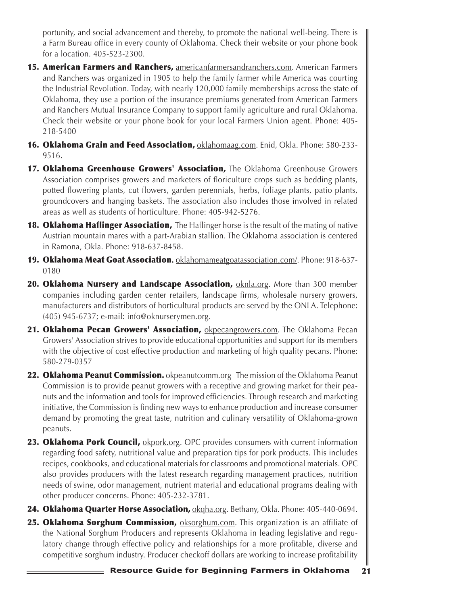portunity, and social advancement and thereby, to promote the national well-being. There is a Farm Bureau office in every county of Oklahoma. Check their website or your phone book for a location. 405-523-2300.

- 15. American Farmers and Ranchers, [americanfarmersandranchers.com.](www.americanfarmersandranchers.com) American Farmers and Ranchers was organized in 1905 to help the family farmer while America was courting the Industrial Revolution. Today, with nearly 120,000 family memberships across the state of Oklahoma, they use a portion of the insurance premiums generated from American Farmers and Ranchers Mutual Insurance Company to support family agriculture and rural Oklahoma. Check their website or your phone book for your local Farmers Union agent. Phone: 405- 218-5400
- 16. Oklahoma Grain and Feed Association, [oklahomaag.com.](www.oklahomaag.com) Enid, Okla. Phone: 580-233-9516.
- 17. Oklahoma Greenhouse Growers' Association, The Oklahoma Greenhouse Growers Association comprises growers and marketers of floriculture crops such as bedding plants, potted flowering plants, cut flowers, garden perennials, herbs, foliage plants, patio plants, groundcovers and hanging baskets. The association also includes those involved in related areas as well as students of horticulture. Phone: 405-942-5276.
- 18. Oklahoma Haflinger Association, The Haflinger horse is the result of the mating of native Austrian mountain mares with a part-Arabian stallion. The Oklahoma association is centered in Ramona, Okla. Phone: 918-637-8458.
- 19. Oklahoma Meat Goat Association. *oklahomameatgoatassociation.com*/. Phone: 918-637-0180
- 20. Oklahoma Nursery and Landscape Association, [oknla.org](www.oknla.org). More than 300 member companies including garden center retailers, landscape firms, wholesale nursery growers, manufacturers and distributors of horticultural products are served by the ONLA. Telephone: (405) 945-6737; e-mail: [info@oknurserymen.org](mailto:info@oknurserymen.org).
- 21. Oklahoma Pecan Growers' Association, [okpecangrowers.com](www.pecangrowers.com). The Oklahoma Pecan Growers' Association strives to provide educational opportunities and support for its members with the objective of cost effective production and marketing of high quality pecans. Phone: 580-279-0357
- 22. Oklahoma Peanut Commission. [okpeanutcomm.org](http://okpeanutcomm.org) The mission of the Oklahoma Peanut Commission is to provide peanut growers with a receptive and growing market for their peanuts and the information and tools for improved efficiencies. Through research and marketing initiative, the Commission is finding new ways to enhance production and increase consumer demand by promoting the great taste, nutrition and culinary versatility of Oklahoma-grown peanuts.
- 23. Oklahoma Pork Council, [okpork.org](www.okpork.org). OPC provides consumers with current information regarding food safety, nutritional value and preparation tips for pork products. This includes recipes, cookbooks, and educational materials for classrooms and promotional materials. OPC also provides producers with the latest research regarding management practices, nutrition needs of swine, odor management, nutrient material and educational programs dealing with other producer concerns. Phone: 405-232-3781.
- 24. Oklahoma Quarter Horse Association, okgha.org. Bethany, Okla. Phone: 405-440-0694.
- 25. Oklahoma Sorghum Commission, [oksorghum.com](sorghumgrowers.com). This organization is an affiliate of the National Sorghum Producers and represents Oklahoma in leading legislative and regulatory change through effective policy and relationships for a more profitable, diverse and competitive sorghum industry. Producer checkoff dollars are working to increase profitability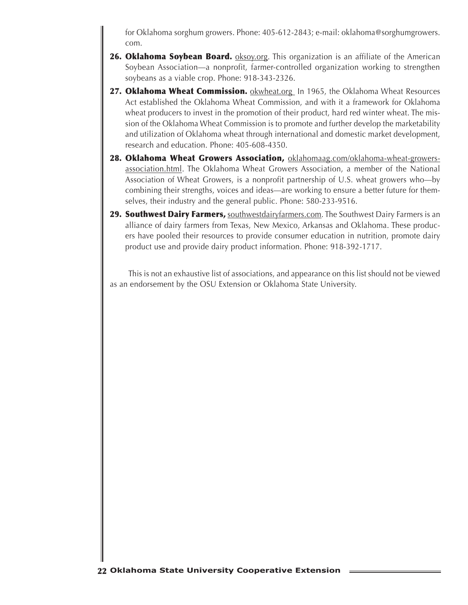for Oklahoma sorghum growers. Phone: 405-612-2843; e-mail: [oklahoma@sorghumgrowers.](mailto:oklahoma@sorghumgrowers.com) [com](mailto:oklahoma@sorghumgrowers.com).

- 26. Oklahoma Soybean Board. <oksoy.org>. This organization is an affiliate of the American Soybean Association—a nonprofit, farmer-controlled organization working to strengthen soybeans as a viable crop. Phone: 918-343-2326.
- 27. Oklahoma Wheat Commission. **[okwheat.org](http://okwheat.org)** In 1965, the Oklahoma Wheat Resources Act established the Oklahoma Wheat Commission, and with it a framework for Oklahoma wheat producers to invest in the promotion of their product, hard red winter wheat. The mission of the Oklahoma Wheat Commission is to promote and further develop the marketability and utilization of Oklahoma wheat through international and domestic market development, research and education. Phone: 405-608-4350.
- 28. Oklahoma Wheat Growers Association, [oklahomaag.com/oklahoma-wheat-growers](http://oklahomaag.com/oklahoma-wheat-growers-association.html)[association.html](http://oklahomaag.com/oklahoma-wheat-growers-association.html). The Oklahoma Wheat Growers Association, a member of the National Association of Wheat Growers, is a nonprofit partnership of U.S. wheat growers who—by combining their strengths, voices and ideas—are working to ensure a better future for themselves, their industry and the general public. Phone: 580-233-9516.
- 29. Southwest Dairy Farmers, [southwestdairyfarmers.com.](www.southwestdairyfarmers.com) The Southwest Dairy Farmers is an alliance of dairy farmers from Texas, New Mexico, Arkansas and Oklahoma. These producers have pooled their resources to provide consumer education in nutrition, promote dairy product use and provide dairy product information. Phone: 918-392-1717.

This is not an exhaustive list of associations, and appearance on this list should not be viewed as an endorsement by the OSU Extension or Oklahoma State University.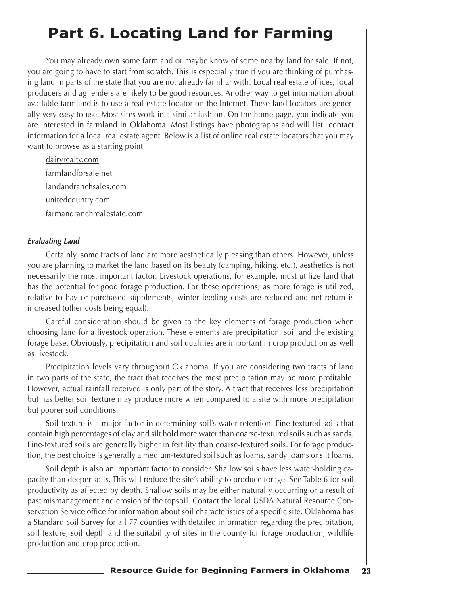### **Part 6. Locating Land for Farming**

You may already own some farmland or maybe know of some nearby land for sale. If not, you are going to have to start from scratch. This is especially true if you are thinking of purchasing land in parts of the state that you are not already familiar with. Local real estate offices, local producers and ag lenders are likely to be good resources. Another way to get information about available farmland is to use a real estate locator on the Internet. These land locators are generally very easy to use. Most sites work in a similar fashion. On the home page, you indicate you are interested in farmland in Oklahoma. Most listings have photographs and will list contact information for a local real estate agent. Below is a list of online real estate locators that you may want to browse as a starting point.

[dairyrealty.com](www.dairyrealty.com) [farmlandforsale.net](www.farmlandforsale.net) [landandranchsales.com](www.landandranchsales.com) [unitedcountry.com](www.unitedcountry.com) [farmandranchrealestate.com](www.farmandranchrealestate.com)

### *Evaluating Land*

Certainly, some tracts of land are more aesthetically pleasing than others. However, unless you are planning to market the land based on its beauty (camping, hiking, etc.), aesthetics is not necessarily the most important factor. Livestock operations, for example, must utilize land that has the potential for good forage production. For these operations, as more forage is utilized, relative to hay or purchased supplements, winter feeding costs are reduced and net return is increased (other costs being equal).

Careful consideration should be given to the key elements of forage production when choosing land for a livestock operation. These elements are precipitation, soil and the existing forage base. Obviously, precipitation and soil qualities are important in crop production as well as livestock.

Precipitation levels vary throughout Oklahoma. If you are considering two tracts of land in two parts of the state, the tract that receives the most precipitation may be more profitable. However, actual rainfall received is only part of the story. A tract that receives less precipitation but has better soil texture may produce more when compared to a site with more precipitation but poorer soil conditions.

Soil texture is a major factor in determining soil's water retention. Fine textured soils that contain high percentages of clay and silt hold more water than coarse-textured soils such as sands. Fine-textured soils are generally higher in fertility than coarse-textured soils. For forage production, the best choice is generally a medium-textured soil such as loams, sandy loams or silt loams.

Soil depth is also an important factor to consider. Shallow soils have less water-holding capacity than deeper soils. This will reduce the site's ability to produce forage. See Table 6 for soil productivity as affected by depth. Shallow soils may be either naturally occurring or a result of past mismanagement and erosion of the topsoil. Contact the local USDA Natural Resource Conservation Service office for information about soil characteristics of a specific site. Oklahoma has a Standard Soil Survey for all 77 counties with detailed information regarding the precipitation, soil texture, soil depth and the suitability of sites in the county for forage production, wildlife production and crop production.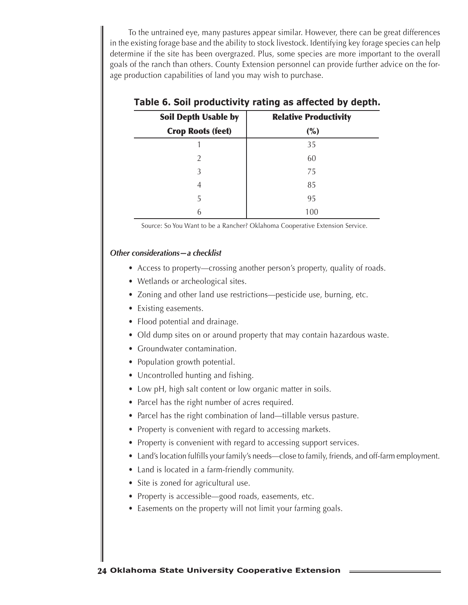To the untrained eye, many pastures appear similar. However, there can be great differences in the existing forage base and the ability to stock livestock. Identifying key forage species can help determine if the site has been overgrazed. Plus, some species are more important to the overall goals of the ranch than others. County Extension personnel can provide further advice on the forage production capabilities of land you may wish to purchase.

| <b>Soil Depth Usable by</b> | <b>Relative Productivity</b> |
|-----------------------------|------------------------------|
| <b>Crop Roots (feet)</b>    | (%)                          |
|                             | 35                           |
| $\mathcal{P}$               | 60                           |
| 3                           | 75                           |
| 4                           | 85                           |
| 5                           | 95                           |
|                             | 100                          |

### **Table 6. Soil productivity rating as affected by depth.**

Source: So You Want to be a Rancher? Oklahoma Cooperative Extension Service.

#### *Other considerations—a checklist*

- Access to property—crossing another person's property, quality of roads.
- Wetlands or archeological sites.
- Zoning and other land use restrictions—pesticide use, burning, etc.
- Existing easements.
- Flood potential and drainage.
- Old dump sites on or around property that may contain hazardous waste.
- Groundwater contamination.
- Population growth potential.
- Uncontrolled hunting and fishing.
- Low pH, high salt content or low organic matter in soils.
- Parcel has the right number of acres required.
- Parcel has the right combination of land—tillable versus pasture.
- Property is convenient with regard to accessing markets.
- Property is convenient with regard to accessing support services.
- Land's location fulfills your family's needs—close to family, friends, and off-farm employment.
- Land is located in a farm-friendly community.
- Site is zoned for agricultural use.
- Property is accessible—good roads, easements, etc.
- Easements on the property will not limit your farming goals.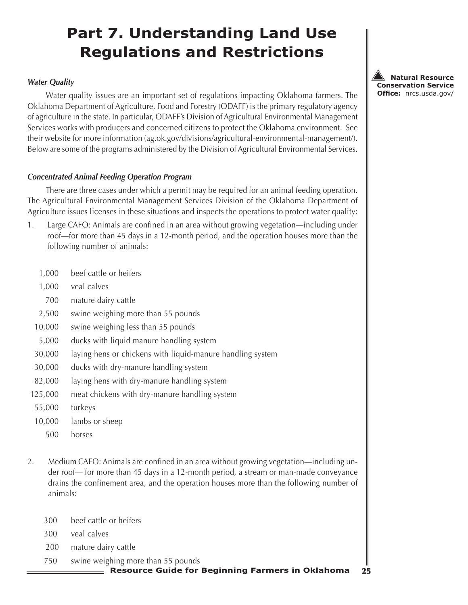## **Part 7. Understanding Land Use Regulations and Restrictions**

### *Water Quality*

Water quality issues are an important set of regulations impacting Oklahoma farmers. The Oklahoma Department of Agriculture, Food and Forestry (ODAFF) is the primary regulatory agency of agriculture in the state. In particular, ODAFF's Division of Agricultural Environmental Management Services works with producers and concerned citizens to protect the Oklahoma environment. See their website for more information ([ag.ok.gov/divisions/agricultural-environmental-management/](http://ag.ok.gov/divisions/agricultural-environmental-management/)). Below are some of the programs administered by the Division of Agricultural Environmental Services.

### *Concentrated Animal Feeding Operation Program*

There are three cases under which a permit may be required for an animal feeding operation. The Agricultural Environmental Management Services Division of the Oklahoma Department of Agriculture issues licenses in these situations and inspects the operations to protect water quality:

- 1. Large CAFO: Animals are confined in an area without growing vegetation—including under roof—for more than 45 days in a 12-month period, and the operation houses more than the following number of animals:
	- 1,000 beef cattle or heifers
	- 1,000 veal calves
	- 700 mature dairy cattle
	- 2,500 swine weighing more than 55 pounds
	- 10,000 swine weighing less than 55 pounds
	- 5,000 ducks with liquid manure handling system
	- 30,000 laying hens or chickens with liquid-manure handling system
	- 30,000 ducks with dry-manure handling system
	- 82,000 laying hens with dry-manure handling system
- 125,000 meat chickens with dry-manure handling system
- 55,000 turkeys
- 10,000 lambs or sheep
	- 500 horses
- 2. Medium CAFO: Animals are confined in an area without growing vegetation—including under roof— for more than 45 days in a 12-month period, a stream or man-made conveyance drains the confinement area, and the operation houses more than the following number of animals:
	- 300 beef cattle or heifers
	- 300 veal calves
	- 200 mature dairy cattle
	- 750 swine weighing more than 55 pounds



**Natural Resource Conservation Service Office:** [nrcs.usda.gov](www.nrcs.usda.gov)/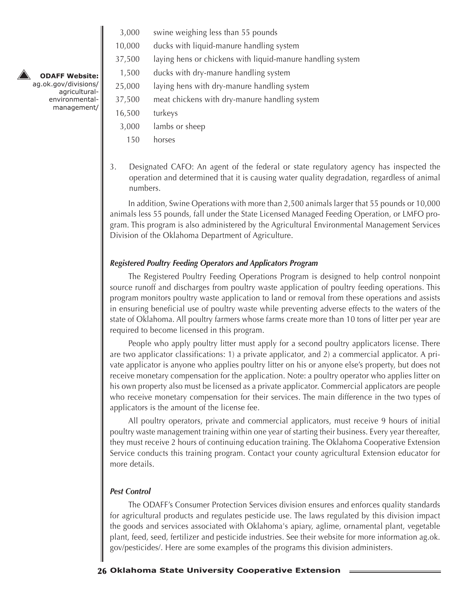

[ag.ok.gov/divisions/](http://ag.ok.gov/divisions/agricultural-environmental-management/) [agricultural](http://ag.ok.gov/divisions/agricultural-environmental-management/)[environmental](http://ag.ok.gov/divisions/agricultural-environmental-management/)[management/](http://ag.ok.gov/divisions/agricultural-environmental-management/)

- 3,000 swine weighing less than 55 pounds
- 10,000 ducks with liquid-manure handling system
- 37,500 laying hens or chickens with liquid-manure handling system
	- 1,500 ducks with dry-manure handling system
- 25,000 laying hens with dry-manure handling system
- 37,500 meat chickens with dry-manure handling system
- 16,500 turkeys
- 3,000 lambs or sheep
	- 150 horses
- 3. Designated CAFO: An agent of the federal or state regulatory agency has inspected the operation and determined that it is causing water quality degradation, regardless of animal numbers.

In addition, Swine Operations with more than 2,500 animals larger that 55 pounds or 10,000 animals less 55 pounds, fall under the State Licensed Managed Feeding Operation, or LMFO program. This program is also administered by the Agricultural Environmental Management Services Division of the Oklahoma Department of Agriculture.

### *Registered Poultry Feeding Operators and Applicators Program*

The Registered Poultry Feeding Operations Program is designed to help control nonpoint source runoff and discharges from poultry waste application of poultry feeding operations. This program monitors poultry waste application to land or removal from these operations and assists in ensuring beneficial use of poultry waste while preventing adverse effects to the waters of the state of Oklahoma. All poultry farmers whose farms create more than 10 tons of litter per year are required to become licensed in this program.

People who apply poultry litter must apply for a second poultry applicators license. There are two applicator classifications: 1) a private applicator, and 2) a commercial applicator. A private applicator is anyone who applies poultry litter on his or anyone else's property, but does not receive monetary compensation for the application. Note: a poultry operator who applies litter on his own property also must be licensed as a private applicator. Commercial applicators are people who receive monetary compensation for their services. The main difference in the two types of applicators is the amount of the license fee.

All poultry operators, private and commercial applicators, must receive 9 hours of initial poultry waste management training within one year of starting their business. Every year thereafter, they must receive 2 hours of continuing education training. The Oklahoma Cooperative Extension Service conducts this training program. Contact your county agricultural Extension educator for more details.

### *Pest Control*

The ODAFF's Consumer Protection Services division ensures and enforces quality standards for agricultural products and regulates pesticide use. The laws regulated by this division impact the goods and services associated with Oklahoma's apiary, aglime, ornamental plant, vegetable plant, feed, seed, fertilizer and pesticide industries. See their website for more information [ag.ok.](http://ag.ok.gov/pesticides/) [gov/pesticides/](http://ag.ok.gov/pesticides/). Here are some examples of the programs this division administers.

### 26 **Oklahoma State University Cooperative Extension**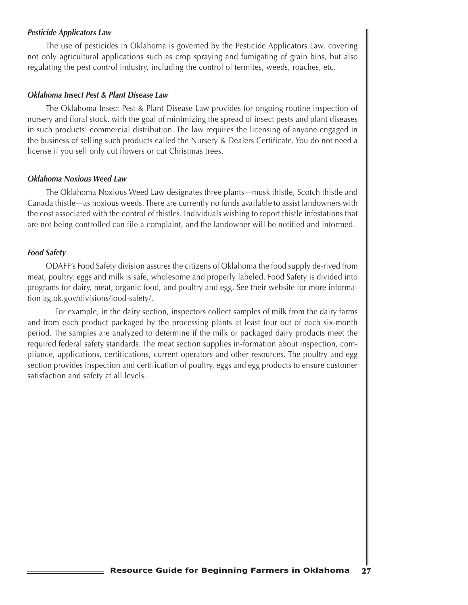#### *Pesticide Applicators Law*

The use of pesticides in Oklahoma is governed by the Pesticide Applicators Law, covering not only agricultural applications such as crop spraying and fumigating of grain bins, but also regulating the pest control industry, including the control of termites, weeds, roaches, etc.

#### *Oklahoma Insect Pest & Plant Disease Law*

The Oklahoma Insect Pest & Plant Disease Law provides for ongoing routine inspection of nursery and floral stock, with the goal of minimizing the spread of insect pests and plant diseases in such products' commercial distribution. The law requires the licensing of anyone engaged in the business of selling such products called the Nursery & Dealers Certificate. You do not need a license if you sell only cut flowers or cut Christmas trees.

#### *Oklahoma Noxious Weed Law*

The Oklahoma Noxious Weed Law designates three plants—musk thistle, Scotch thistle and Canada thistle—as noxious weeds. There are currently no funds available to assist landowners with the cost associated with the control of thistles. Individuals wishing to report thistle infestations that are not being controlled can file a complaint, and the landowner will be notified and informed.

#### *Food Safety*

ODAFF's Food Safety division assures the citizens of Oklahoma the food supply de-rived from meat, poultry, eggs and milk is safe, wholesome and properly labeled. Food Safety is divided into programs for dairy, meat, organic food, and poultry and egg. See their website for more information [ag.ok.gov/divisions/food-safety/.](http://ag.ok.gov/divisions/food-safety/)

For example, in the dairy section, inspectors collect samples of milk from the dairy farms and from each product packaged by the processing plants at least four out of each six-month period. The samples are analyzed to determine if the milk or packaged dairy products meet the required federal safety standards. The meat section supplies in-formation about inspection, compliance, applications, certifications, current operators and other resources. The poultry and egg section provides inspection and certification of poultry, eggs and egg products to ensure customer satisfaction and safety at all levels.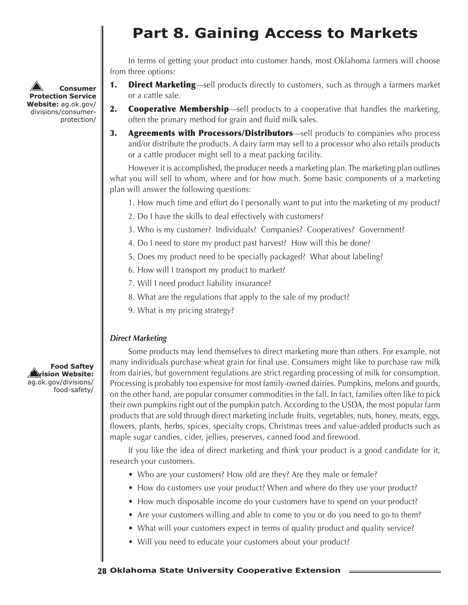### **Part 8. Gaining Access to Markets**

In terms of getting your product into customer hands, most Oklahoma farmers will choose from three options:

- **1.** Direct Marketing—sell products directly to customers, such as through a farmers market or a cattle sale.
- 2. Cooperative Membership—sell products to a cooperative that handles the marketing, often the primary method for grain and fluid milk sales.
- **3.** Agreements with Processors/Distributors—sell products to companies who process and/or distribute the products. A dairy farm may sell to a processor who also retails products or a cattle producer might sell to a meat packing facility.

However it is accomplished, the producer needs a marketing plan. The marketing plan outlines what you will sell to whom, where and for how much. Some basic components of a marketing plan will answer the following questions:

1. How much time and effort do I personally want to put into the marketing of my product?

- 2. Do I have the skills to deal effectively with customers?
- 3. Who is my customer? Individuals? Companies? Cooperatives? Government?
- 4. Do I need to store my product past harvest? How will this be done?
- 5. Does my product need to be specially packaged? What about labeling?
- 6. How will I transport my product to market?
- 7. Will I need product liability insurance?
- 8. What are the regulations that apply to the sale of my product?
- 9. What is my pricing strategy?

### *Direct Marketing*

Some products may lend themselves to direct marketing more than others. For example, not many individuals purchase wheat grain for final use. Consumers might like to purchase raw milk from dairies, but government regulations are strict regarding processing of milk for consumption. Processing is probably too expensive for most family-owned dairies. Pumpkins, melons and gourds, on the other hand, are popular consumer commodities in the fall. In fact, families often like to pick their own pumpkins right out of the pumpkin patch. According to the USDA, the most popular farm products that are sold through direct marketing include fruits, vegetables, nuts, honey, meats, eggs, flowers, plants, herbs, spices, specialty crops, Christmas trees and value-added products such as maple sugar candies, cider, jellies, preserves, canned food and firewood.

If you like the idea of direct marketing and think your product is a good candidate for it, research your customers.

- Who are your customers? How old are they? Are they male or female?
- How do customers use your product? When and where do they use your product?
- How much disposable income do your customers have to spend on your product?
- Are your customers willing and able to come to you or do you need to go to them?
- What will your customers expect in terms of quality product and quality service?
- Will you need to educate your customers about your product?

**Food Saftey Division Website:** [ag.ok.gov/divisions/](http://ag.ok.gov/divisions/food-safety/) [food-safety/](http://ag.ok.gov/divisions/food-safety/)

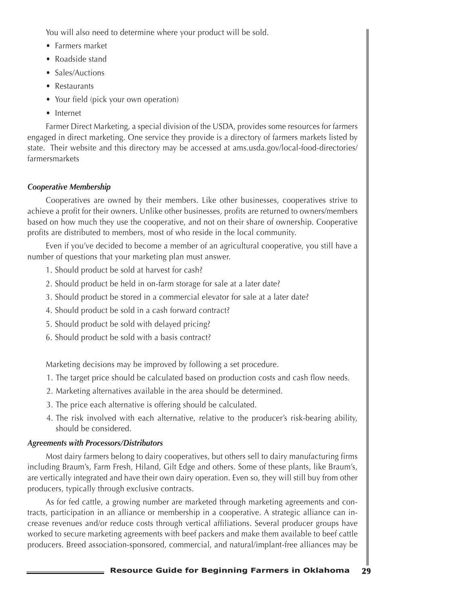You will also need to determine where your product will be sold.

- Farmers market
- Roadside stand
- Sales/Auctions
- Restaurants
- Your field (pick your own operation)
- Internet

Farmer Direct Marketing, a special division of the USDA, provides some resources for farmers engaged in direct marketing. One service they provide is a directory of farmers markets listed by state. Their website and this directory may be accessed at [ams.usda.gov/local-food-directories/](http://ams.usda.gov/local-food-directories/farmersmarkets) [farmersmarkets](http://ams.usda.gov/local-food-directories/farmersmarkets)

### *Cooperative Membership*

Cooperatives are owned by their members. Like other businesses, cooperatives strive to achieve a profit for their owners. Unlike other businesses, profits are returned to owners/members based on how much they use the cooperative, and not on their share of ownership. Cooperative profits are distributed to members, most of who reside in the local community.

Even if you've decided to become a member of an agricultural cooperative, you still have a number of questions that your marketing plan must answer.

- 1. Should product be sold at harvest for cash?
- 2. Should product be held in on-farm storage for sale at a later date?
- 3. Should product be stored in a commercial elevator for sale at a later date?
- 4. Should product be sold in a cash forward contract?
- 5. Should product be sold with delayed pricing?
- 6. Should product be sold with a basis contract?

Marketing decisions may be improved by following a set procedure.

- 1. The target price should be calculated based on production costs and cash flow needs.
- 2. Marketing alternatives available in the area should be determined.
- 3. The price each alternative is offering should be calculated.
- 4. The risk involved with each alternative, relative to the producer's risk-bearing ability, should be considered.

### *Agreements with Processors/Distributors*

Most dairy farmers belong to dairy cooperatives, but others sell to dairy manufacturing firms including Braum's, Farm Fresh, Hiland, Gilt Edge and others. Some of these plants, like Braum's, are vertically integrated and have their own dairy operation. Even so, they will still buy from other producers, typically through exclusive contracts.

As for fed cattle, a growing number are marketed through marketing agreements and contracts, participation in an alliance or membership in a cooperative. A strategic alliance can increase revenues and/or reduce costs through vertical affiliations. Several producer groups have worked to secure marketing agreements with beef packers and make them available to beef cattle producers. Breed association-sponsored, commercial, and natural/implant-free alliances may be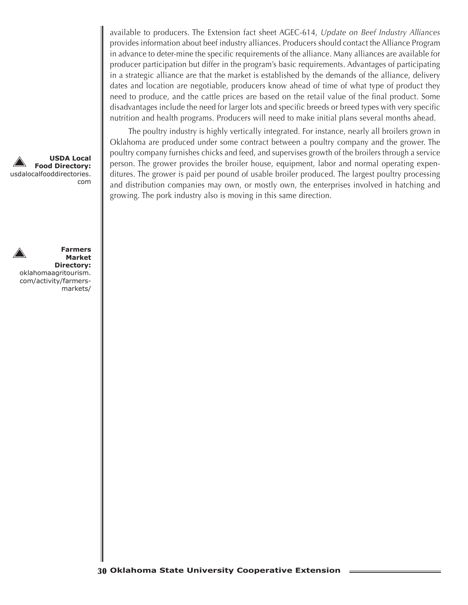available to producers. The Extension fact sheet AGEC-614, *Update on Beef Industry Alliances* provides information about beef industry alliances. Producers should contact the Alliance Program in advance to deter-mine the specific requirements of the alliance. Many alliances are available for producer participation but differ in the program's basic requirements. Advantages of participating in a strategic alliance are that the market is established by the demands of the alliance, delivery dates and location are negotiable, producers know ahead of time of what type of product they need to produce, and the cattle prices are based on the retail value of the final product. Some disadvantages include the need for larger lots and specific breeds or breed types with very specific nutrition and health programs. Producers will need to make initial plans several months ahead.

The poultry industry is highly vertically integrated. For instance, nearly all broilers grown in Oklahoma are produced under some contract between a poultry company and the grower. The poultry company furnishes chicks and feed, and supervises growth of the broilers through a service person. The grower provides the broiler house, equipment, labor and normal operating expenditures. The grower is paid per pound of usable broiler produced. The largest poultry processing and distribution companies may own, or mostly own, the enterprises involved in hatching and growing. The pork industry also is moving in this same direction.



**Farmers Market Directory:**  [oklahomaagritourism.](http://oklahomaagritourism.com/activity/farmers-markets/) [com/activity/farmers](http://oklahomaagritourism.com/activity/farmers-markets/)[markets/](http://oklahomaagritourism.com/activity/farmers-markets/)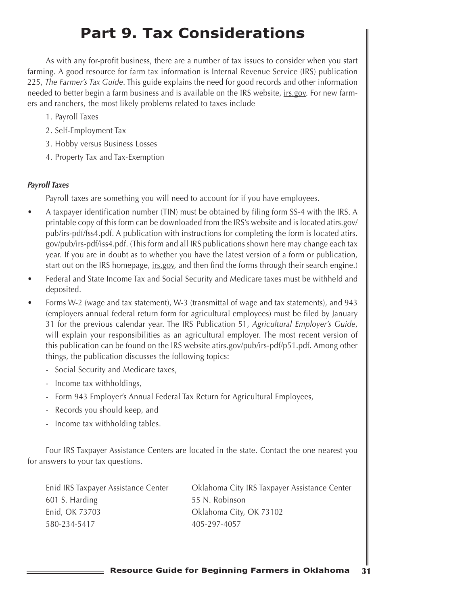### **Part 9. Tax Considerations**

As with any for-profit business, there are a number of tax issues to consider when you start farming. A good resource for farm tax information is Internal Revenue Service (IRS) publication 225, *The Farmer's Tax Guide*. This guide explains the need for good records and other information needed to better begin a farm business and is available on the IRS website, [irs.gov](www.irs.gov). For new farmers and ranchers, the most likely problems related to taxes include

- 1. Payroll Taxes
- 2. Self-Employment Tax
- 3. Hobby versus Business Losses
- 4. Property Tax and Tax-Exemption

### *Payroll Taxes*

Payroll taxes are something you will need to account for if you have employees.

- A taxpayer identification number (TIN) must be obtained by filing form SS-4 with the IRS. A printable copy of this form can be downloaded from the IRS's website and is located at[irs.gov/](www.irs.gov/pub/irs-pdf/fss4.pdf) [pub/irs-pdf/fss4.pdf](www.irs.gov/pub/irs-pdf/fss4.pdf). A publication with instructions for completing the form is located at[irs.](www.irs.gov/pub/irs-pdf/iss4.pdf) [gov/pub/irs-pdf/iss4.pdf.](www.irs.gov/pub/irs-pdf/iss4.pdf) (This form and all IRS publications shown here may change each tax year. If you are in doubt as to whether you have the latest version of a form or publication, start out on the IRS homepage, [irs.gov,](www.irs.gov) and then find the forms through their search engine.)
- Federal and State Income Tax and Social Security and Medicare taxes must be withheld and deposited.
- Forms W-2 (wage and tax statement), W-3 (transmittal of wage and tax statements), and 943 (employers annual federal return form for agricultural employees) must be filed by January 31 for the previous calendar year. The IRS Publication 51, *Agricultural Employer's Guide*, will explain your responsibilities as an agricultural employer. The most recent version of this publication can be found on the IRS website at[irs.gov/pub/irs-pdf/p51.pdf](www.irs.gov/pub/irs-pdf/p51.pdf). Among other things, the publication discusses the following topics:
	- Social Security and Medicare taxes,
	- Income tax withholdings,
	- Form 943 Employer's Annual Federal Tax Return for Agricultural Employees,
	- Records you should keep, and
	- Income tax withholding tables.

Four IRS Taxpayer Assistance Centers are located in the state. Contact the one nearest you for answers to your tax questions.

601 S. Harding 55 N. Robinson Enid, OK 73703 Oklahoma City, OK 73102 580-234-5417 405-297-4057

Enid IRS Taxpayer Assistance Center Oklahoma City IRS Taxpayer Assistance Center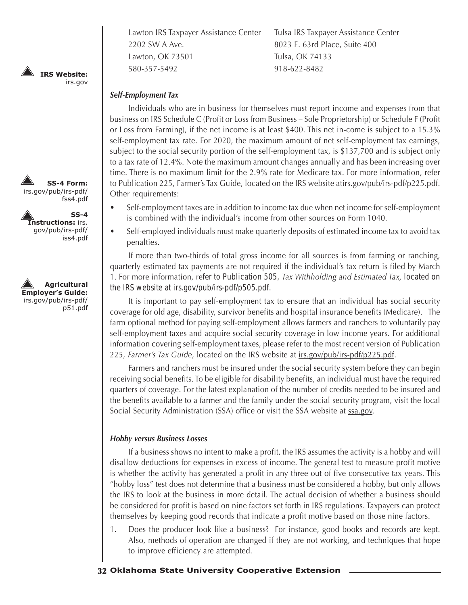



**SS-4 Instructions:** [irs.](www.irs.gov/pub/irs-pdf/iss4.pdf) [gov/pub/irs-pdf/](www.irs.gov/pub/irs-pdf/iss4.pdf) [iss4.pdf](www.irs.gov/pub/irs-pdf/iss4.pdf)



Lawton IRS Taxpayer Assistance Center Tulsa IRS Taxpayer Assistance Center 2202 SW A Ave. 8023 E. 63rd Place, Suite 400 Lawton, OK 73501 Tulsa, OK 74133 580-357-5492 918-622-8482

### *Self-Employment Tax*

Individuals who are in business for themselves must report income and expenses from that business on IRS Schedule C (Profit or Loss from Business – Sole Proprietorship) or Schedule F (Profit or Loss from Farming), if the net income is at least \$400. This net in-come is subject to a 15.3% self-employment tax rate. For 2020, the maximum amount of net self-employment tax earnings, subject to the social security portion of the self-employment tax, is \$137,700 and is subject only to a tax rate of 12.4%. Note the maximum amount changes annually and has been increasing over time. There is no maximum limit for the 2.9% rate for Medicare tax. For more information, refer to Publication 225, Farmer's Tax Guide, located on the IRS website [atirs.gov/pub/irs-pdf/p225.pdf](http://atirs.gov/pub/irs-pdf/p225.pdf). Other requirements:

- Self-employment taxes are in addition to income tax due when net income for self-employment is combined with the individual's income from other sources on Form 1040.
- Self-employed individuals must make quarterly deposits of estimated income tax to avoid tax penalties.

If more than two-thirds of total gross income for all sources is from farming or ranching, quarterly estimated tax payments are not required if the individual's tax return is filed by March 1. For more information, refer to Publication 505, *Tax Withholding and Estimated Tax,* located on the IRS website at [irs.gov/pub/irs-pdf/p505.pdf](www.irs.gov/pub/irs-pdf/p505.pdf).

It is important to pay self-employment tax to ensure that an individual has social security coverage for old age, disability, survivor benefits and hospital insurance benefits (Medicare). The farm optional method for paying self-employment allows farmers and ranchers to voluntarily pay self-employment taxes and acquire social security coverage in low income years. For additional information covering self-employment taxes, please refer to the most recent version of Publication 225, *Farmer's Tax Guide*, located on the IRS website at [irs.gov/pub/irs-pdf/p225.pdf.](http://www.irs.gov/pub/irs-pdf/p225.pdf)

Farmers and ranchers must be insured under the social security system before they can begin receiving social benefits. To be eligible for disability benefits, an individual must have the required quarters of coverage. For the latest explanation of the number of credits needed to be insured and the benefits available to a farmer and the family under the social security program, visit the local Social Security Administration (SSA) office or visit the SSA website at [ssa.gov](www.ssa.gov).

### *Hobby versus Business Losses*

If a business shows no intent to make a profit, the IRS assumes the activity is a hobby and will disallow deductions for expenses in excess of income. The general test to measure profit motive is whether the activity has generated a profit in any three out of five consecutive tax years. This "hobby loss" test does not determine that a business must be considered a hobby, but only allows the IRS to look at the business in more detail. The actual decision of whether a business should be considered for profit is based on nine factors set forth in IRS regulations. Taxpayers can protect themselves by keeping good records that indicate a profit motive based on those nine factors.

1. Does the producer look like a business? For instance, good books and records are kept. Also, methods of operation are changed if they are not working, and techniques that hope to improve efficiency are attempted.

### 32 **Oklahoma State University Cooperative Extension**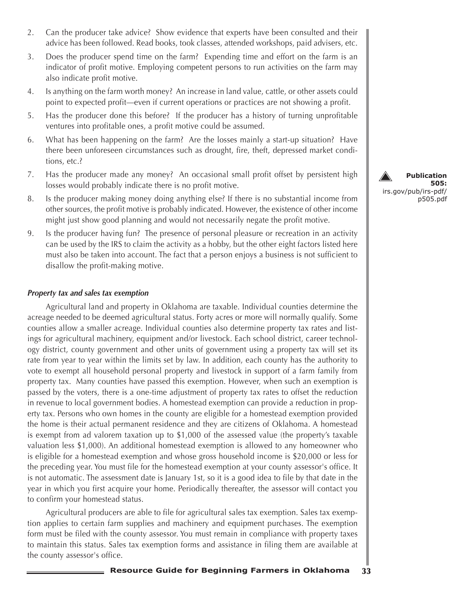- 2. Can the producer take advice? Show evidence that experts have been consulted and their advice has been followed. Read books, took classes, attended workshops, paid advisers, etc.
- 3. Does the producer spend time on the farm? Expending time and effort on the farm is an indicator of profit motive. Employing competent persons to run activities on the farm may also indicate profit motive.
- 4. Is anything on the farm worth money? An increase in land value, cattle, or other assets could point to expected profit—even if current operations or practices are not showing a profit.
- 5. Has the producer done this before? If the producer has a history of turning unprofitable ventures into profitable ones, a profit motive could be assumed.
- 6. What has been happening on the farm? Are the losses mainly a start-up situation? Have there been unforeseen circumstances such as drought, fire, theft, depressed market conditions, etc.?
- 7. Has the producer made any money? An occasional small profit offset by persistent high losses would probably indicate there is no profit motive.
- 8. Is the producer making money doing anything else? If there is no substantial income from other sources, the profit motive is probably indicated. However, the existence of other income might just show good planning and would not necessarily negate the profit motive.
- 9. Is the producer having fun? The presence of personal pleasure or recreation in an activity can be used by the IRS to claim the activity as a hobby, but the other eight factors listed here must also be taken into account. The fact that a person enjoys a business is not sufficient to disallow the profit-making motive.

### *Property tax and sales tax exemption*

Agricultural land and property in Oklahoma are taxable. Individual counties determine the acreage needed to be deemed agricultural status. Forty acres or more will normally qualify. Some counties allow a smaller acreage. Individual counties also determine property tax rates and listings for agricultural machinery, equipment and/or livestock. Each school district, career technology district, county government and other units of government using a property tax will set its rate from year to year within the limits set by law. In addition, each county has the authority to vote to exempt all household personal property and livestock in support of a farm family from property tax. Many counties have passed this exemption. However, when such an exemption is passed by the voters, there is a one-time adjustment of property tax rates to offset the reduction in revenue to local government bodies. A homestead exemption can provide a reduction in property tax. Persons who own homes in the county are eligible for a homestead exemption provided the home is their actual permanent residence and they are citizens of Oklahoma. A homestead is exempt from ad valorem taxation up to \$1,000 of the assessed value (the property's taxable valuation less \$1,000). An additional homestead exemption is allowed to any homeowner who is eligible for a homestead exemption and whose gross household income is \$20,000 or less for the preceding year. You must file for the homestead exemption at your county assessor's office. It is not automatic. The assessment date is January 1st, so it is a good idea to file by that date in the year in which you first acquire your home. Periodically thereafter, the assessor will contact you to confirm your homestead status.

Agricultural producers are able to file for agricultural sales tax exemption. Sales tax exemption applies to certain farm supplies and machinery and equipment purchases. The exemption form must be filed with the county assessor. You must remain in compliance with property taxes to maintain this status. Sales tax exemption forms and assistance in filing them are available at the county assessor's office.



[irs.gov/pub/irs-pdf/](http://www.irs.gov/pub/irs-pdf/p505.pdf) [p505.pdf](http://www.irs.gov/pub/irs-pdf/p505.pdf)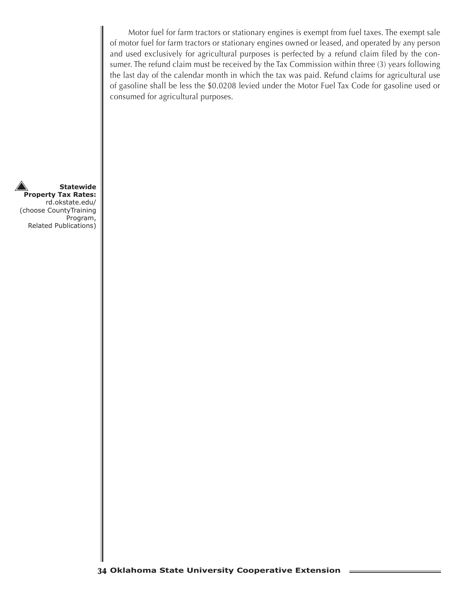Motor fuel for farm tractors or stationary engines is exempt from fuel taxes. The exempt sale of motor fuel for farm tractors or stationary engines owned or leased, and operated by any person and used exclusively for agricultural purposes is perfected by a refund claim filed by the consumer. The refund claim must be received by the Tax Commission within three (3) years following the last day of the calendar month in which the tax was paid. Refund claims for agricultural use of gasoline shall be less the \$0.0208 levied under the Motor Fuel Tax Code for gasoline used or consumed for agricultural purposes.

**Statewide Property Tax Rates:**  <rd.okstate.edu>/ (choose CountyTraining Program, Related Publications)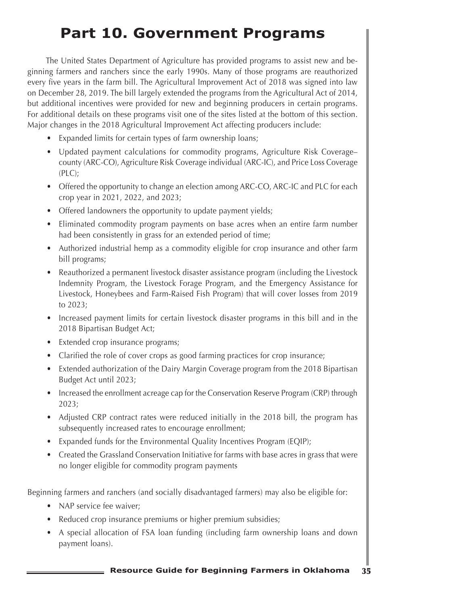### **Part 10. Government Programs**

The United States Department of Agriculture has provided programs to assist new and beginning farmers and ranchers since the early 1990s. Many of those programs are reauthorized every five years in the farm bill. The Agricultural Improvement Act of 2018 was signed into law on December 28, 2019. The bill largely extended the programs from the Agricultural Act of 2014, but additional incentives were provided for new and beginning producers in certain programs. For additional details on these programs visit one of the sites listed at the bottom of this section. Major changes in the 2018 Agricultural Improvement Act affecting producers include:

- Expanded limits for certain types of farm ownership loans;
- Updated payment calculations for commodity programs, Agriculture Risk Coverage– county (ARC-CO), Agriculture Risk Coverage individual (ARC-IC), and Price Loss Coverage (PLC);
- Offered the opportunity to change an election among ARC-CO, ARC-IC and PLC for each crop year in 2021, 2022, and 2023;
- Offered landowners the opportunity to update payment yields;
- Eliminated commodity program payments on base acres when an entire farm number had been consistently in grass for an extended period of time;
- Authorized industrial hemp as a commodity eligible for crop insurance and other farm bill programs;
- Reauthorized a permanent livestock disaster assistance program (including the Livestock Indemnity Program, the Livestock Forage Program, and the Emergency Assistance for Livestock, Honeybees and Farm-Raised Fish Program) that will cover losses from 2019 to 2023;
- Increased payment limits for certain livestock disaster programs in this bill and in the 2018 Bipartisan Budget Act;
- Extended crop insurance programs;
- Clarified the role of cover crops as good farming practices for crop insurance;
- Extended authorization of the Dairy Margin Coverage program from the 2018 Bipartisan Budget Act until 2023;
- Increased the enrollment acreage cap for the Conservation Reserve Program (CRP) through 2023;
- Adjusted CRP contract rates were reduced initially in the 2018 bill, the program has subsequently increased rates to encourage enrollment;
- Expanded funds for the Environmental Quality Incentives Program (EQIP);
- Created the Grassland Conservation Initiative for farms with base acres in grass that were no longer eligible for commodity program payments

Beginning farmers and ranchers (and socially disadvantaged farmers) may also be eligible for:

- NAP service fee waiver;
- Reduced crop insurance premiums or higher premium subsidies;
- A special allocation of FSA loan funding (including farm ownership loans and down payment loans).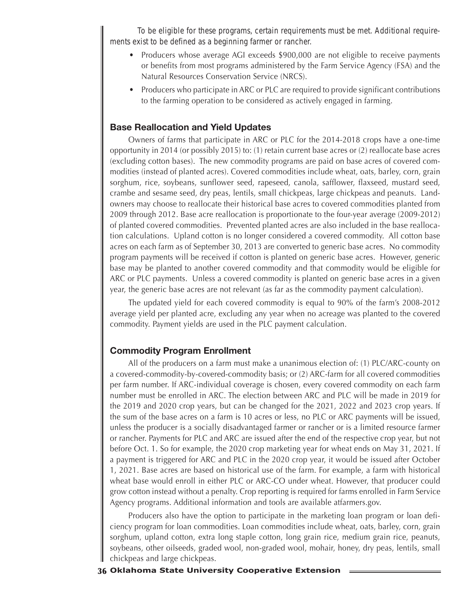To be eligible for these programs, certain requirements must be met. Additional requirements exist to be defined as a beginning farmer or rancher.

- Producers whose average AGI exceeds \$900,000 are not eligible to receive payments or benefits from most programs administered by the Farm Service Agency (FSA) and the Natural Resources Conservation Service (NRCS).
- Producers who participate in ARC or PLC are required to provide significant contributions to the farming operation to be considered as actively engaged in farming.

### **Base Reallocation and Yield Updates**

Owners of farms that participate in ARC or PLC for the 2014-2018 crops have a one-time opportunity in 2014 (or possibly 2015) to: (1) retain current base acres or (2) reallocate base acres (excluding cotton bases). The new commodity programs are paid on base acres of covered commodities (instead of planted acres). Covered commodities include wheat, oats, barley, corn, grain sorghum, rice, soybeans, sunflower seed, rapeseed, canola, safflower, flaxseed, mustard seed, crambe and sesame seed, dry peas, lentils, small chickpeas, large chickpeas and peanuts. Landowners may choose to reallocate their historical base acres to covered commodities planted from 2009 through 2012. Base acre reallocation is proportionate to the four-year average (2009-2012) of planted covered commodities. Prevented planted acres are also included in the base reallocation calculations. Upland cotton is no longer considered a covered commodity. All cotton base acres on each farm as of September 30, 2013 are converted to generic base acres. No commodity program payments will be received if cotton is planted on generic base acres. However, generic base may be planted to another covered commodity and that commodity would be eligible for ARC or PLC payments. Unless a covered commodity is planted on generic base acres in a given year, the generic base acres are not relevant (as far as the commodity payment calculation).

The updated yield for each covered commodity is equal to 90% of the farm's 2008-2012 average yield per planted acre, excluding any year when no acreage was planted to the covered commodity. Payment yields are used in the PLC payment calculation.

### **Commodity Program Enrollment**

All of the producers on a farm must make a unanimous election of: (1) PLC/ARC-county on a covered-commodity-by-covered-commodity basis; or (2) ARC-farm for all covered commodities per farm number. If ARC-individual coverage is chosen, every covered commodity on each farm number must be enrolled in ARC. The election between ARC and PLC will be made in 2019 for the 2019 and 2020 crop years, but can be changed for the 2021, 2022 and 2023 crop years. If the sum of the base acres on a farm is 10 acres or less, no PLC or ARC payments will be issued, unless the producer is a socially disadvantaged farmer or rancher or is a limited resource farmer or rancher. Payments for PLC and ARC are issued after the end of the respective crop year, but not before Oct. 1. So for example, the 2020 crop marketing year for wheat ends on May 31, 2021. If a payment is triggered for ARC and PLC in the 2020 crop year, it would be issued after October 1, 2021. Base acres are based on historical use of the farm. For example, a farm with historical wheat base would enroll in either PLC or ARC-CO under wheat. However, that producer could grow cotton instead without a penalty. Crop reporting is required for farms enrolled in Farm Service Agency programs. Additional information and tools are available [atfarmers.gov](http://atfarmers.gov).

Producers also have the option to participate in the marketing loan program or loan deficiency program for loan commodities. Loan commodities include wheat, oats, barley, corn, grain sorghum, upland cotton, extra long staple cotton, long grain rice, medium grain rice, peanuts, soybeans, other oilseeds, graded wool, non-graded wool, mohair, honey, dry peas, lentils, small chickpeas and large chickpeas.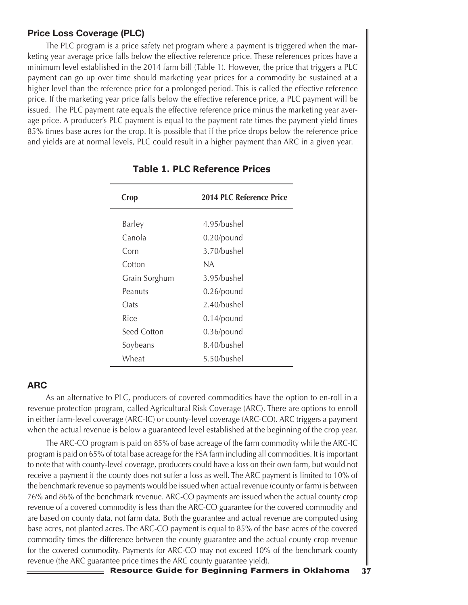### **Price Loss Coverage (PLC)**

The PLC program is a price safety net program where a payment is triggered when the marketing year average price falls below the effective reference price. These references prices have a minimum level established in the 2014 farm bill (Table 1). However, the price that triggers a PLC payment can go up over time should marketing year prices for a commodity be sustained at a higher level than the reference price for a prolonged period. This is called the effective reference price. If the marketing year price falls below the effective reference price, a PLC payment will be issued. The PLC payment rate equals the effective reference price minus the marketing year average price. A producer's PLC payment is equal to the payment rate times the payment yield times 85% times base acres for the crop. It is possible that if the price drops below the reference price and yields are at normal levels, PLC could result in a higher payment than ARC in a given year.

| Crop          | <b>2014 PLC Reference Price</b> |
|---------------|---------------------------------|
| <b>Barley</b> | 4.95/bushel                     |
| Canola        | $0.20$ /pound                   |
| Corn          | 3.70/bushel                     |
| Cotton        | NA                              |
| Grain Sorghum | 3.95/bushel                     |
| Peanuts       | $0.26$ /pound                   |
| Oats          | 2.40/bushel                     |
| Rice          | $0.14$ /pound                   |
| Seed Cotton   | $0.36$ /pound                   |
| Soybeans      | 8.40/bushel                     |
| Wheat         | 5.50/bushel                     |

### **Table 1. PLC Reference Prices**

### **ARC**

As an alternative to PLC, producers of covered commodities have the option to en-roll in a revenue protection program, called Agricultural Risk Coverage (ARC). There are options to enroll in either farm-level coverage (ARC-IC) or county-level coverage (ARC-CO). ARC triggers a payment when the actual revenue is below a guaranteed level established at the beginning of the crop year.

The ARC-CO program is paid on 85% of base acreage of the farm commodity while the ARC-IC program is paid on 65% of total base acreage for the FSA farm including all commodities. It is important to note that with county-level coverage, producers could have a loss on their own farm, but would not receive a payment if the county does not suffer a loss as well. The ARC payment is limited to 10% of the benchmark revenue so payments would be issued when actual revenue (county or farm) is between 76% and 86% of the benchmark revenue. ARC-CO payments are issued when the actual county crop revenue of a covered commodity is less than the ARC-CO guarantee for the covered commodity and are based on county data, not farm data. Both the guarantee and actual revenue are computed using base acres, not planted acres. The ARC-CO payment is equal to 85% of the base acres of the covered commodity times the difference between the county guarantee and the actual county crop revenue for the covered commodity. Payments for ARC-CO may not exceed 10% of the benchmark county revenue (the ARC guarantee price times the ARC county guarantee yield).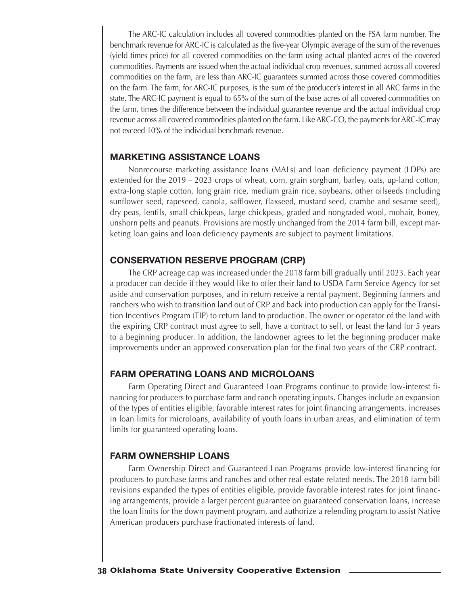The ARC-IC calculation includes all covered commodities planted on the FSA farm number. The benchmark revenue for ARC-IC is calculated as the five-year Olympic average of the sum of the revenues (yield times price) for all covered commodities on the farm using actual planted acres of the covered commodities. Payments are issued when the actual individual crop revenues, summed across all covered commodities on the farm, are less than ARC-IC guarantees summed across those covered commodities on the farm. The farm, for ARC-IC purposes, is the sum of the producer's interest in all ARC farms in the state. The ARC-IC payment is equal to 65% of the sum of the base acres of all covered commodities on the farm, times the difference between the individual guarantee revenue and the actual individual crop revenue across all covered commodities planted on the farm. Like ARC-CO, the payments for ARC-IC may not exceed 10% of the individual benchmark revenue.

### **MARKETING ASSISTANCE LOANS**

Nonrecourse marketing assistance loans (MALs) and loan deficiency payment (LDPs) are extended for the 2019 – 2023 crops of wheat, corn, grain sorghum, barley, oats, up-land cotton, extra-long staple cotton, long grain rice, medium grain rice, soybeans, other oilseeds (including sunflower seed, rapeseed, canola, safflower, flaxseed, mustard seed, crambe and sesame seed), dry peas, lentils, small chickpeas, large chickpeas, graded and nongraded wool, mohair, honey, unshorn pelts and peanuts. Provisions are mostly unchanged from the 2014 farm bill, except marketing loan gains and loan deficiency payments are subject to payment limitations.

### **CONSERVATION RESERVE PROGRAM (CRP)**

The CRP acreage cap was increased under the 2018 farm bill gradually until 2023. Each year a producer can decide if they would like to offer their land to USDA Farm Service Agency for set aside and conservation purposes, and in return receive a rental payment. Beginning farmers and ranchers who wish to transition land out of CRP and back into production can apply for the Transition Incentives Program (TIP) to return land to production. The owner or operator of the land with the expiring CRP contract must agree to sell, have a contract to sell, or least the land for 5 years to a beginning producer. In addition, the landowner agrees to let the beginning producer make improvements under an approved conservation plan for the final two years of the CRP contract.

### **FARM OPERATING LOANS AND MICROLOANS**

Farm Operating Direct and Guaranteed Loan Programs continue to provide low-interest financing for producers to purchase farm and ranch operating inputs. Changes include an expansion of the types of entities eligible, favorable interest rates for joint financing arrangements, increases in loan limits for microloans, availability of youth loans in urban areas, and elimination of term limits for guaranteed operating loans.

#### **FARM OWNERSHIP LOANS**

Farm Ownership Direct and Guaranteed Loan Programs provide low-interest financing for producers to purchase farms and ranches and other real estate related needs. The 2018 farm bill revisions expanded the types of entities eligible, provide favorable interest rates for joint financing arrangements, provide a larger percent guarantee on guaranteed conservation loans, increase the loan limits for the down payment program, and authorize a relending program to assist Native American producers purchase fractionated interests of land.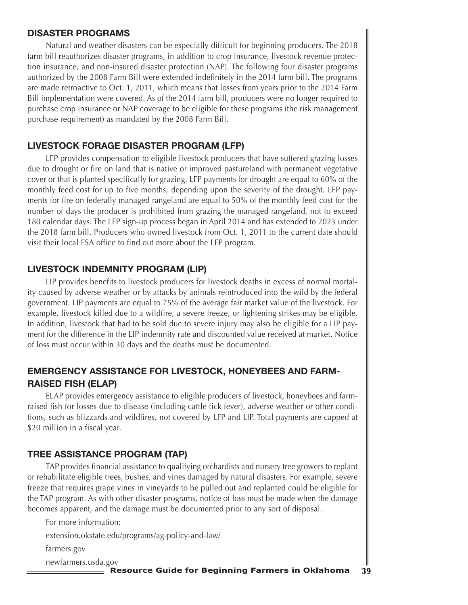### **DISASTER PROGRAMS**

Natural and weather disasters can be especially difficult for beginning producers. The 2018 farm bill reauthorizes disaster programs, in addition to crop insurance, livestock revenue protection insurance, and non-insured disaster protection (NAP). The following four disaster programs authorized by the 2008 Farm Bill were extended indefinitely in the 2014 farm bill. The programs are made retroactive to Oct. 1, 2011, which means that losses from years prior to the 2014 Farm Bill implementation were covered. As of the 2014 farm bill, producers were no longer required to purchase crop insurance or NAP coverage to be eligible for these programs (the risk management purchase requirement) as mandated by the 2008 Farm Bill.

### **LIVESTOCK FORAGE DISASTER PROGRAM (LFP)**

LFP provides compensation to eligible livestock producers that have suffered grazing losses due to drought or fire on land that is native or improved pastureland with permanent vegetative cover or that is planted specifically for grazing. LFP payments for drought are equal to 60% of the monthly feed cost for up to five months, depending upon the severity of the drought. LFP payments for fire on federally managed rangeland are equal to 50% of the monthly feed cost for the number of days the producer is prohibited from grazing the managed rangeland, not to exceed 180 calendar days. The LFP sign-up process began in April 2014 and has extended to 2023 under the 2018 farm bill. Producers who owned livestock from Oct. 1, 2011 to the current date should visit their local FSA office to find out more about the LFP program.

### **LIVESTOCK INDEMNITY PROGRAM (LIP)**

LIP provides benefits to livestock producers for livestock deaths in excess of normal mortality caused by adverse weather or by attacks by animals reintroduced into the wild by the federal government. LIP payments are equal to 75% of the average fair market value of the livestock. For example, livestock killed due to a wildfire, a severe freeze, or lightening strikes may be eligible. In addition, livestock that had to be sold due to severe injury may also be eligible for a LIP payment for the difference in the LIP indemnity rate and discounted value received at market. Notice of loss must occur within 30 days and the deaths must be documented.

### **EMERGENCY ASSISTANCE FOR LIVESTOCK, HONEYBEES AND FARM-RAISED FISH (ELAP)**

ELAP provides emergency assistance to eligible producers of livestock, honeybees and farmraised fish for losses due to disease (including cattle tick fever), adverse weather or other conditions, such as blizzards and wildfires, not covered by LFP and LIP. Total payments are capped at \$20 million in a fiscal year.

### **TREE ASSISTANCE PROGRAM (TAP)**

TAP provides financial assistance to qualifying orchardists and nursery tree growers to replant or rehabilitate eligible trees, bushes, and vines damaged by natural disasters. For example, severe freeze that requires grape vines in vineyards to be pulled out and replanted could be eligible for the TAP program. As with other disaster programs, notice of loss must be made when the damage becomes apparent, and the damage must be documented prior to any sort of disposal.

For more information:

[extension.okstate.edu/programs/ag-policy-and-law/](http://extension.okstate.edu/programs/ag-policy-and-law/)

[farmers.gov](http://farmers.gov)

[newfarmers.usda.gov](http://newfarmers.usda.gov)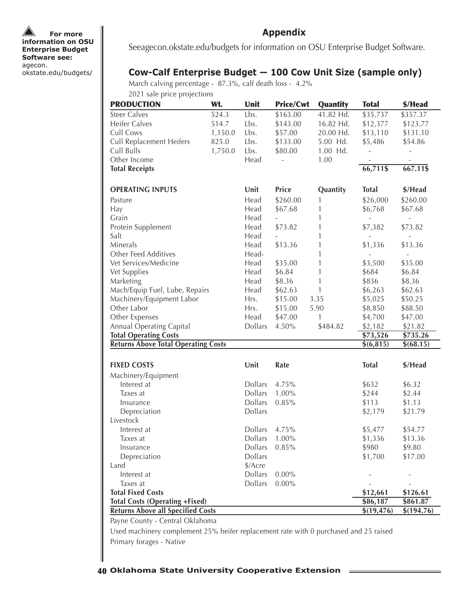**For more information on OSU Enterprise Budget Software see:**  [agecon](http://www.agecon). <okstate.edu/budgets>/

### **Appendix**

[Seeagecon.okstate.edu/budgets](http://Seeagecon.okstate.edu/budgets) for information on OSU Enterprise Budget Software.

### **Cow-Calf Enterprise Budget — 100 Cow Unit Size (sample only)**

March calving percentage - 87.3%, calf death loss - 4.2% 2021 sale price projections

| <b>PRODUCTION</b>                          | Wt.     | <b>Unit</b>    | <b>Price/Cwt</b>         | <b>Quantity</b> | <b>Total</b>             | \$/Head                      |
|--------------------------------------------|---------|----------------|--------------------------|-----------------|--------------------------|------------------------------|
| <b>Steer Calves</b>                        | 524.3   | Lbs.           | \$163.00                 | 41.82 Hd.       | \$35,737                 | \$357.37                     |
| <b>Heifer Calves</b>                       | 514.7   | Lbs.           | \$143.00                 | 16.82 Hd.       | \$12,377                 | \$123.77                     |
| Cull Cows                                  | 1,150.0 | Lbs.           | \$57.00                  | 20.00 Hd.       | \$13,110                 | \$131.10                     |
| Cull Replacement Heifers                   | 825.0   | Lbs.           | \$133.00                 | 5.00 Hd.        | \$5,486                  | \$54.86                      |
| Cull Bulls                                 | 1,750.0 | Lbs.           | \$80.00                  | $1.00$ Hd.      |                          |                              |
| Other Income                               |         | Head           | $\overline{\phantom{a}}$ | 1.00            |                          |                              |
| <b>Total Receipts</b>                      |         |                |                          |                 | 66,711\$                 | $667.11\$                    |
| <b>OPERATING INPUTS</b>                    |         | Unit           | Price                    | Quantity        | <b>Total</b>             | \$/Head                      |
| Pasture                                    |         | Head           | \$260.00                 | 1               | \$26,000                 | \$260.00                     |
| Hay                                        |         | Head           | \$67.68                  | 1               | \$6,768                  | \$67.68                      |
| Grain                                      |         | Head           | $\blacksquare$           | 1               | $\overline{\phantom{a}}$ | $\qquad \qquad \blacksquare$ |
| Protein Supplement                         |         | Head           | \$73.82                  | 1               | \$7,382                  | \$73.82                      |
| Salt                                       |         | Head           |                          | $\mathbf{1}$    | $\overline{\phantom{a}}$ |                              |
| Minerals                                   |         | Head           | \$13.36                  | 1               | \$1,336                  | \$13.36                      |
| Other Feed Additives                       |         | Head-          |                          | 1               | $\sim$                   | $\overline{\phantom{a}}$     |
| Vet Services/Medicine                      |         | Head           | \$35.00                  | 1               | \$3,500                  | \$35.00                      |
| Vet Supplies                               |         | Head           | \$6.84                   | 1               | \$684                    | \$6.84                       |
| Marketing                                  |         | Head           | \$8.36                   | 1               | \$836                    | \$8.36                       |
| Mach/Equip Fuel, Lube, Repairs             |         | Head           | \$62.63                  | $\mathbf{1}$    | \$6,263                  | \$62.63                      |
| Machinery/Equipment Labor                  |         | Hrs.           | \$15.00                  | 3.35            | \$5,025                  | \$50.25                      |
| Other Labor                                |         | Hrs.           | \$15.00                  | 5.90            | \$8,850                  | \$88.50                      |
| Other Expenses                             |         | Head           | \$47.00                  | 1               | \$4,700                  | \$47.00                      |
| Annual Operating Capital                   |         | <b>Dollars</b> | 4.50%                    | \$484.82        | \$2,182                  | \$21.82                      |
| <b>Total Operating Costs</b>               |         |                |                          |                 | \$73,526                 | \$735.26                     |
| <b>Returns Above Total Operating Costs</b> |         |                |                          |                 | \$(6, 815)               | \$ (68.15)                   |
| <b>FIXED COSTS</b>                         |         | Unit           | Rate                     |                 | <b>Total</b>             | \$/Head                      |
|                                            |         |                |                          |                 |                          |                              |
| Machinery/Equipment<br>Interest at         |         | <b>Dollars</b> | 4.75%                    |                 | \$632                    | \$6.32                       |
| Taxes at                                   |         | <b>Dollars</b> | 1.00%                    |                 | \$244                    | \$2.44                       |
| Insurance                                  |         | <b>Dollars</b> | 0.85%                    |                 | \$113                    | \$1.13                       |
| Depreciation                               |         | <b>Dollars</b> |                          |                 | \$2,179                  | \$21.79                      |
| Livestock                                  |         |                |                          |                 |                          |                              |
| Interest at                                |         | <b>Dollars</b> | 4.75%                    |                 | \$5,477                  | \$54.77                      |
| Taxes at                                   |         | Dollars 1.00%  |                          |                 | \$1,336                  | \$13.36                      |
| Insurance                                  |         | <b>Dollars</b> | 0.85%                    |                 | \$980                    | \$9.80                       |
| Depreciation                               |         | <b>Dollars</b> |                          |                 | \$1,700                  | \$17.00                      |
| Land                                       |         | \$/Arcr        |                          |                 |                          |                              |
| Interest at                                |         | <b>Dollars</b> | $0.00\%$                 |                 |                          |                              |
| Taxes at                                   |         | <b>Dollars</b> | $0.00\%$                 |                 |                          |                              |
| <b>Total Fixed Costs</b>                   |         |                |                          |                 | \$12,661                 | \$126.61                     |
| <b>Total Costs (Operating +Fixed)</b>      |         |                |                          |                 | \$86,187                 | \$861.87                     |
| <b>Returns Above all Specified Costs</b>   |         |                |                          |                 | \$(19, 476)              | \$(194.76)                   |

Payne County - Central Oklahoma

Used machinery complement 25% heifer replacement rate with 0 purchased and 25 raised Primary forages - Native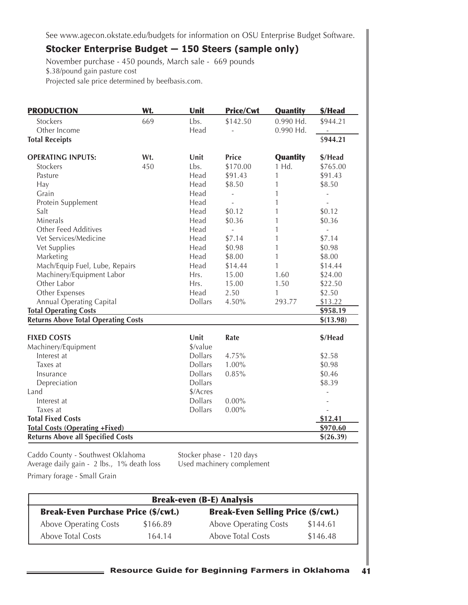See [www.agecon.okstate.edu/budgets](http://www.agecon.okstate.edu/budgets) for information on OSU Enterprise Budget Software.

### **Stocker Enterprise Budget — 150 Steers (sample only)**

November purchase - 450 pounds, March sale - 669 pounds \$.38/pound gain pasture cost Projected sale price determined by [beefbasis.com.](http://beefbasis.com)

| Stockers<br>Other Income<br><b>Total Receipts</b> | 669 | Lbs.           | \$142.50                 |                 |                          |
|---------------------------------------------------|-----|----------------|--------------------------|-----------------|--------------------------|
|                                                   |     |                |                          | 0.990 Hd.       | \$944.21                 |
|                                                   |     | Head           |                          | 0.990 Hd.       | $\overline{\phantom{a}}$ |
|                                                   |     |                |                          |                 | \$944.21                 |
| <b>OPERATING INPUTS:</b>                          | Wt. | Unit           | Price                    | <b>Quantity</b> | \$/Head                  |
| Stockers                                          | 450 | Lbs.           | \$170.00                 | 1 Hd.           | \$765.00                 |
| Pasture                                           |     | Head           | \$91.43                  | 1               | \$91.43                  |
| Hay                                               |     | Head           | \$8.50                   | 1               | \$8.50                   |
| Grain                                             |     | Head           | $\overline{\phantom{a}}$ | 1               | $\overline{\phantom{a}}$ |
| Protein Supplement                                |     | Head           |                          | 1               |                          |
| Salt                                              |     | Head           | \$0.12                   | 1               | \$0.12                   |
| Minerals                                          |     | Head           | \$0.36                   | 1               | \$0.36                   |
| <b>Other Feed Additives</b>                       |     | Head           | $\bar{a}$                | 1               | $\overline{a}$           |
| Vet Services/Medicine                             |     | Head           | \$7.14                   | 1               | \$7.14                   |
| Vet Supplies                                      |     | Head           | \$0.98                   | 1               | \$0.98                   |
| Marketing                                         |     | Head           | \$8.00                   | 1               | \$8.00                   |
| Mach/Equip Fuel, Lube, Repairs                    |     | Head           | \$14.44                  | 1               | \$14.44                  |
| Machinery/Equipment Labor                         |     | Hrs.           | 15.00                    | 1.60            | \$24.00                  |
| Other Labor                                       |     | Hrs.           | 15.00                    | 1.50            | \$22.50                  |
| Other Expenses                                    |     | Head           | 2.50                     | $\mathbf{1}$    | \$2.50                   |
| <b>Annual Operating Capital</b>                   |     | <b>Dollars</b> | 4.50%                    | 293.77          | \$13.22                  |
| <b>Total Operating Costs</b>                      |     |                |                          |                 | \$958.19                 |
| <b>Returns Above Total Operating Costs</b>        |     |                |                          |                 | \$(13.98)                |
| <b>FIXED COSTS</b>                                |     | Unit           | Rate                     |                 | \$/Head                  |
| Machinery/Equipment                               |     | \$/value       |                          |                 |                          |
| Interest at                                       |     | <b>Dollars</b> | 4.75%                    |                 | \$2.58                   |
| Taxes at                                          |     | <b>Dollars</b> | 1.00%                    |                 | \$0.98                   |
| Insurance                                         |     | <b>Dollars</b> | 0.85%                    |                 | \$0.46                   |
| Depreciation                                      |     | <b>Dollars</b> |                          |                 | \$8.39                   |
| Land                                              |     | \$/Acres       |                          |                 |                          |
| Interest at                                       |     | <b>Dollars</b> | $0.00\%$                 |                 |                          |
| Taxes at                                          |     | <b>Dollars</b> | $0.00\%$                 |                 | $\sim$                   |
| <b>Total Fixed Costs</b>                          |     |                |                          |                 | \$12.41                  |
| <b>Total Costs (Operating +Fixed)</b>             |     |                |                          |                 | \$970.60                 |
| <b>Returns Above all Specified Costs</b>          |     |                |                          |                 | \$(26.39)                |

Caddo County - Southwest Oklahoma Stocker phase - 120 days Average daily gain - 2 lbs., 1% death loss Used machinery complement Primary forage - Small Grain

| <b>Break-even (B-E) Analysis</b>           |          |                                           |          |  |  |
|--------------------------------------------|----------|-------------------------------------------|----------|--|--|
| <b>Break-Even Purchase Price (\$/cwt.)</b> |          | <b>Break-Even Selling Price (\$/cwt.)</b> |          |  |  |
| Above Operating Costs                      | \$166.89 | Above Operating Costs                     | \$144.61 |  |  |
| Above Total Costs                          | 164.14   | Above Total Costs                         | \$146.48 |  |  |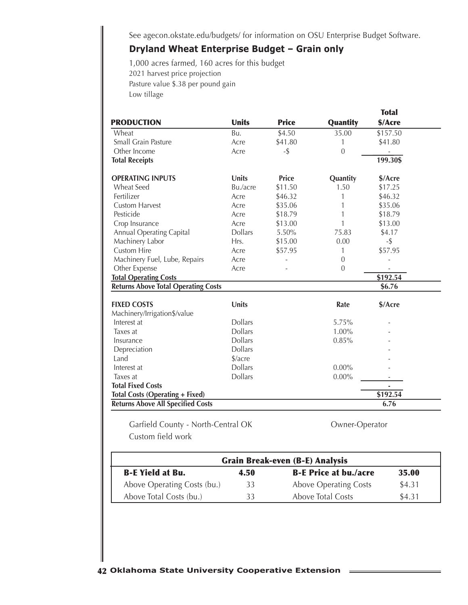See [agecon.okstate.edu/budgets/](http://agecon.okstate.edu/budgets) for information on OSU Enterprise Budget Software.

### **Dryland Wheat Enterprise Budget – Grain only**

1,000 acres farmed, 160 acres for this budget 2021 harvest price projection Pasture value \$.38 per pound gain Low tillage

|                                            |                      |              |                 | <b>Total</b> |
|--------------------------------------------|----------------------|--------------|-----------------|--------------|
| <b>PRODUCTION</b>                          | <b>Units</b>         | <b>Price</b> | <b>Quantity</b> | \$/Acre      |
| Wheat                                      | Bu.                  | \$4.50       | 35.00           | \$157.50     |
| Small Grain Pasture                        | Acre                 | \$41.80      | 1               | \$41.80      |
| Other Income                               | Acre                 | $-$ \$       | $\overline{0}$  |              |
| <b>Total Receipts</b>                      |                      |              |                 | 199.30\$     |
| <b>OPERATING INPUTS</b>                    | Units                | Price        | Quantity        | \$/Acre      |
| <b>Wheat Seed</b>                          | Bu./acre             | \$11.50      | 1.50            | \$17.25      |
| Fertilizer                                 | Acre                 | \$46.32      | 1               | \$46.32      |
| <b>Custom Harvest</b>                      | Acre                 | \$35.06      | 1               | \$35.06      |
| Pesticide                                  | Acre                 | \$18.79      | 1               | \$18.79      |
| Crop Insurance                             | Acre                 | \$13.00      | 1               | \$13.00      |
| <b>Annual Operating Capital</b>            | <b>Dollars</b>       | 5.50%        | 75.83           | \$4.17       |
| Machinery Labor                            | Hrs.                 | \$15.00      | 0.00            | $-$ \$       |
| <b>Custom Hire</b>                         | Acre                 | \$57.95      | 1               | \$57.95      |
| Machinery Fuel, Lube, Repairs              | Acre                 |              | $\mathbf{0}$    |              |
| Other Expense                              | Acre                 |              | $\theta$        |              |
| <b>Total Operating Costs</b>               |                      |              |                 | \$192.54     |
| <b>Returns Above Total Operating Costs</b> |                      |              |                 | \$6.76       |
| <b>FIXED COSTS</b>                         | Units                |              | Rate            | \$/Acre      |
| Machinery/Irrigation\$/value               |                      |              |                 |              |
| Interest at                                | <b>Dollars</b>       |              | 5.75%           |              |
| Taxes at                                   | <b>Dollars</b>       |              | $1.00\%$        |              |
| Insurance                                  | <b>Dollars</b>       |              | 0.85%           |              |
| Depreciation                               | <b>Dollars</b>       |              |                 |              |
| Land                                       | $\frac{\sqrt{2}}{2}$ |              |                 |              |
| Interest at                                | <b>Dollars</b>       |              | $0.00\%$        |              |
| Taxes at                                   | <b>Dollars</b>       |              | $0.00\%$        |              |
| <b>Total Fixed Costs</b>                   |                      |              |                 |              |
| <b>Total Costs (Operating + Fixed)</b>     |                      |              |                 | \$192.54     |
| <b>Returns Above All Specified Costs</b>   |                      |              |                 | 6.76         |
|                                            |                      |              |                 |              |

Garfield County - North-Central OK Queen Counter-Operator Custom field work

| <b>Grain Break-even (B-E) Analysis</b> |      |                              |        |  |
|----------------------------------------|------|------------------------------|--------|--|
| <b>B-E Yield at Bu.</b>                | 4.50 | <b>B-E Price at bu./acre</b> | 35.00  |  |
| Above Operating Costs (bu.)            | 33   | Above Operating Costs        | \$4.31 |  |
| Above Total Costs (bu.)                | 33   | Above Total Costs            | \$4.31 |  |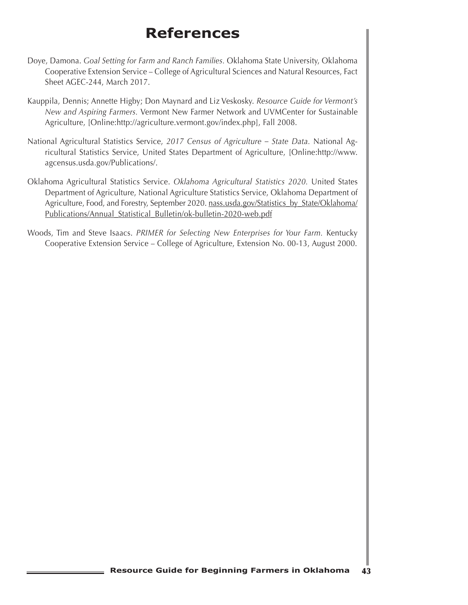### **References**

- Doye, Damona. *Goal Setting for Farm and Ranch Families.* Oklahoma State University, Oklahoma Cooperative Extension Service – College of Agricultural Sciences and Natural Resources, Fact Sheet AGEC-244, March 2017.
- Kauppila, Dennis; Annette Higby; Don Maynard and Liz Veskosky. *Resource Guide for Vermont's New and Aspiring Farmers.* Vermont New Farmer Network and UVMCenter for Sustainable Agriculture, [Online:[http://agriculture.vermont.gov/index.php\]](http://agriculture.vermont.gov/index.php), Fall 2008.
- National Agricultural Statistics Service, *2017 Census of Agriculture State Data.* National Agricultural Statistics Service, United States Department of Agriculture, [Online:[http://www.](http://www.agcensus.usda.gov/Publications/2007/Full_Report/Census_by_State/Oklahoma/index.asp) [agcensus.usda.gov/Publications/.](http://www.agcensus.usda.gov/Publications/2007/Full_Report/Census_by_State/Oklahoma/index.asp)
- Oklahoma Agricultural Statistics Service. *Oklahoma Agricultural Statistics 2020.* United States Department of Agriculture, National Agriculture Statistics Service, Oklahoma Department of Agriculture, Food, and Forestry, September 2020. [nass.usda.gov/Statistics\\_by\\_State/Oklahoma/](http://nass.usda.gov/Statistics_by_State/Oklahoma/Publications/Annual_Statistical_Bulletin/ok-bulletin-2020-web.pdf) [Publications/Annual\\_Statistical\\_Bulletin/ok-bulletin-2020-web.pdf](http://nass.usda.gov/Statistics_by_State/Oklahoma/Publications/Annual_Statistical_Bulletin/ok-bulletin-2020-web.pdf)
- Woods, Tim and Steve Isaacs. *PRIMER for Selecting New Enterprises for Your Farm.* Kentucky Cooperative Extension Service – College of Agriculture, Extension No. 00-13, August 2000.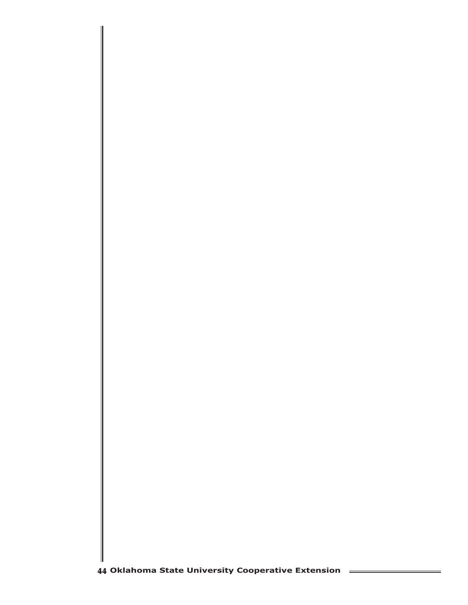**Oklahoma State University Cooperative Extension**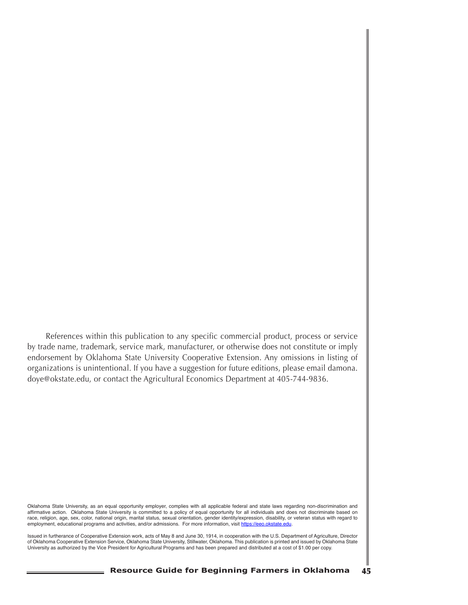References within this publication to any specific commercial product, process or service by trade name, trademark, service mark, manufacturer, or otherwise does not constitute or imply endorsement by Oklahoma State University Cooperative Extension. Any omissions in listing of organizations is unintentional. If you have a suggestion for future editions, please email [damona.](mailto:damona.doye@okstate.edu) [doye@okstate.edu,](mailto:damona.doye@okstate.edu) or contact the Agricultural Economics Department at 405-744-9836.

Oklahoma State University, as an equal opportunity employer, complies with all applicable federal and state laws regarding non-discrimination and affirmative action. Oklahoma State University is committed to a policy of equal opportunity for all individuals and does not discriminate based on race, religion, age, sex, color, national origin, marital status, sexual orientation, gender identity/expression, disability, or veteran status with regard to employment, educational programs and activities, and/or admissions. For more information, visit <https://eeo.okstate.edu>

Issued in furtherance of Cooperative Extension work, acts of May 8 and June 30, 1914, in cooperation with the U.S. Department of Agriculture, Director of Oklahoma Cooperative Extension Service, Oklahoma State University, Stillwater, Oklahoma. This publication is printed and issued by Oklahoma State University as authorized by the Vice President for Agricultural Programs and has been prepared and distributed at a cost of \$1.00 per copy.